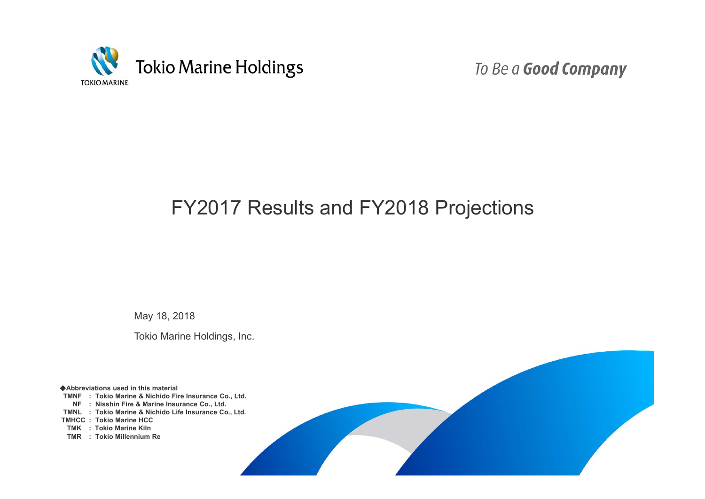

To Be a Good Company

# FY2017 Results and FY2018 Projections

May 18, 2018

Tokio Marine Holdings, Inc.

◆**Abbreviations used in this material TMNF : Tokio Marine & Nichido Fire Insurance Co., Ltd. NF : Nisshin Fire & Marine Insurance Co., Ltd. TMNL : Tokio Marine & Nichido Life Insurance Co., Ltd. TMHCC : Tokio Marine HCC TMK : Tokio Marine Kiln TMR : Tokio Millennium Re**

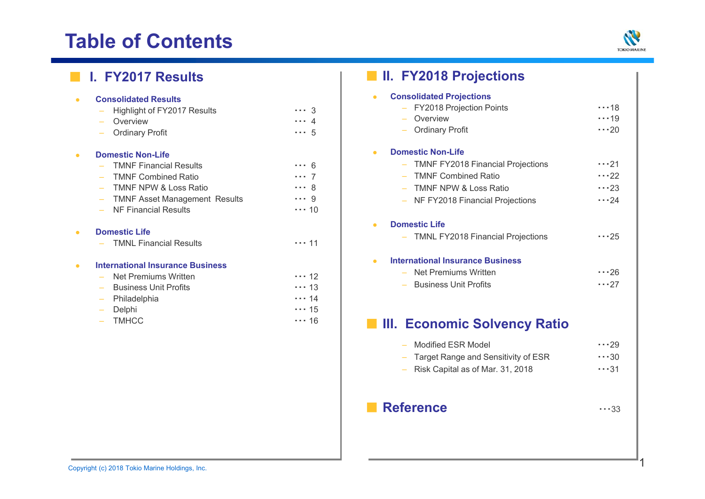# **Table of Contents**



| $\bullet$ | <b>Consolidated Results</b><br>Highlight of FY2017 Results<br>Overview<br>$\equiv$<br><b>Ordinary Profit</b>                                                                                 | $\cdots$ 3<br>. 4<br>$\cdots 5$                               |
|-----------|----------------------------------------------------------------------------------------------------------------------------------------------------------------------------------------------|---------------------------------------------------------------|
| $\bullet$ | <b>Domestic Non-Life</b><br><b>TMNF Financial Results</b><br><b>TMNF Combined Ratio</b><br>TMNF NPW & Loss Ratio<br><b>TMNF Asset Management Results</b><br>NF Financial Results<br>$\equiv$ | 6<br>$\cdots$ 7<br>8<br>$\cdots$ 9<br>$\cdots$ 10             |
| $\bullet$ | <b>Domestic Life</b><br><b>TMNL Financial Results</b>                                                                                                                                        | . 11                                                          |
| $\bullet$ | <b>International Insurance Business</b><br>Net Premiums Written<br><b>Business Unit Profits</b><br>Philadelphia<br>Delphi<br>$\overline{\phantom{m}}$<br><b>TMHCC</b>                        | $\dots$ 12<br>$\cdots$ 13<br>$\cdots$ 14<br>$\cdots$ 15<br>16 |

|           | I. FY2017 Results                                                                                                                                                                                  |                                                                     | <b>II. FY2018 Projections</b>                                                                                                                                                                                        |                                                          |
|-----------|----------------------------------------------------------------------------------------------------------------------------------------------------------------------------------------------------|---------------------------------------------------------------------|----------------------------------------------------------------------------------------------------------------------------------------------------------------------------------------------------------------------|----------------------------------------------------------|
| $\bullet$ | <b>Consolidated Results</b><br>Highlight of FY2017 Results<br>Overview<br><b>Ordinary Profit</b>                                                                                                   | $\cdots$ 3<br>$\cdots$ 4<br>$\cdots 5$                              | <b>Consolidated Projections</b><br>$\bullet$<br>- FY2018 Projection Points<br>Overview<br><b>Ordinary Profit</b>                                                                                                     | $\cdots$ 18<br>$\cdots$ 19<br>$\cdots$ 20                |
|           | <b>Domestic Non-Life</b><br><b>TMNF Financial Results</b><br><b>TMNF Combined Ratio</b><br><b>TMNF NPW &amp; Loss Ratio</b><br><b>TMNF Asset Management Results</b><br><b>NF Financial Results</b> | $\cdots$ 6<br>$\cdots$ 7<br>$\cdots$ 8<br>$\cdots$ 9<br>$\cdots$ 10 | <b>Domestic Non-Life</b><br>$\bullet$<br><b>TMNF FY2018 Financial Projections</b><br>$\overline{\phantom{m}}$<br><b>TMNF Combined Ratio</b><br><b>TMNF NPW &amp; Loss Ratio</b><br>- NF FY2018 Financial Projections | $\cdots$ 21<br>$\cdots$ 22<br>$\cdots$ 23<br>$\cdots$ 24 |
| $\bullet$ | <b>Domestic Life</b><br><b>TMNL Financial Results</b>                                                                                                                                              | 11                                                                  | <b>Domestic Life</b><br>- TMNL FY2018 Financial Projections                                                                                                                                                          | $\cdots$ 25                                              |
| $\bullet$ | <b>International Insurance Business</b><br>Net Premiums Written<br><b>Business Unit Profits</b><br>Philadelphia<br>Delphi                                                                          | $\cdots$ 12<br>$\cdots$ 13<br>$\cdots$ 14<br>$\cdots$ 15            | <b>International Insurance Business</b><br>$\bullet$<br>- Net Premiums Written<br><b>Business Unit Profits</b>                                                                                                       | $\cdots$ 26<br>$\cdots$ 27                               |
|           | <b>TMHCC</b>                                                                                                                                                                                       | $\cdots$ 16                                                         | <b>NET III. Economic Solvency Ratio</b><br><b>Modified ESR Model</b><br>Target Range and Sensitivity of ESR<br>Risk Capital as of Mar. 31, 2018                                                                      | $\cdots$ 29<br>$\cdots$ 30<br>$\cdots$ 31                |

## ■ **Reference** ・・・<sup>33</sup>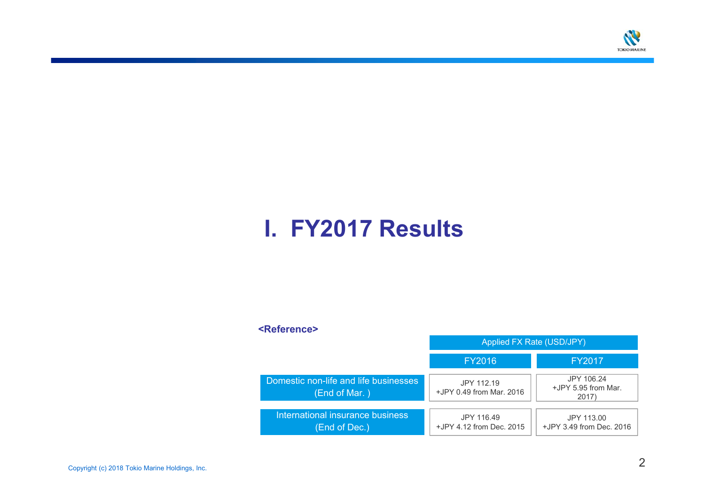

# **I. FY2017 Results**

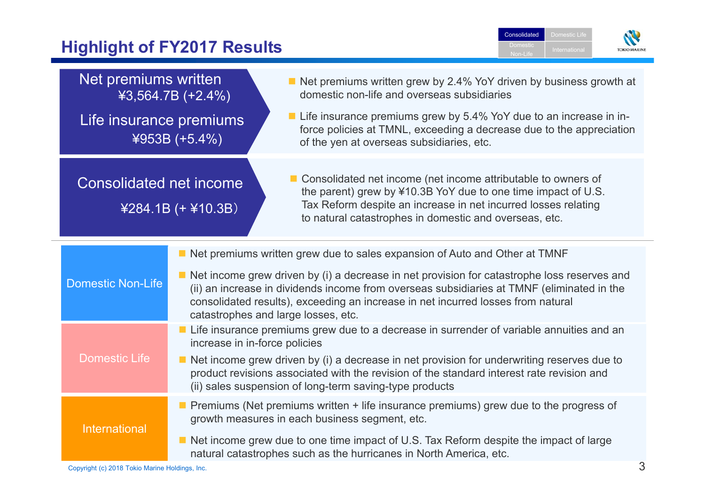# **Highlight of FY2017 Results**



| Net premiums written                                                                                                                                                                                                                                                       | $43,564.7B (+2.4%)$                                                                                                                                                                                                                                                                                                  | Net premiums written grew by 2.4% YoY driven by business growth at<br>domestic non-life and overseas subsidiaries                                                                                                                                            |  |  |
|----------------------------------------------------------------------------------------------------------------------------------------------------------------------------------------------------------------------------------------------------------------------------|----------------------------------------------------------------------------------------------------------------------------------------------------------------------------------------------------------------------------------------------------------------------------------------------------------------------|--------------------------------------------------------------------------------------------------------------------------------------------------------------------------------------------------------------------------------------------------------------|--|--|
| Life insurance premiums                                                                                                                                                                                                                                                    | $4953B (+5.4%)$                                                                                                                                                                                                                                                                                                      | ■ Life insurance premiums grew by 5.4% YoY due to an increase in in-<br>force policies at TMNL, exceeding a decrease due to the appreciation<br>of the yen at overseas subsidiaries, etc.                                                                    |  |  |
| <b>Consolidated net income</b><br>$4284.1B (+ 410.3B)$                                                                                                                                                                                                                     |                                                                                                                                                                                                                                                                                                                      | ■ Consolidated net income (net income attributable to owners of<br>the parent) grew by ¥10.3B YoY due to one time impact of U.S.<br>Tax Reform despite an increase in net incurred losses relating<br>to natural catastrophes in domestic and overseas, etc. |  |  |
|                                                                                                                                                                                                                                                                            |                                                                                                                                                                                                                                                                                                                      | Net premiums written grew due to sales expansion of Auto and Other at TMNF                                                                                                                                                                                   |  |  |
| <b>Domestic Non-Life</b>                                                                                                                                                                                                                                                   | Net income grew driven by (i) a decrease in net provision for catastrophe loss reserves and<br>(ii) an increase in dividends income from overseas subsidiaries at TMNF (eliminated in the<br>consolidated results), exceeding an increase in net incurred losses from natural<br>catastrophes and large losses, etc. |                                                                                                                                                                                                                                                              |  |  |
|                                                                                                                                                                                                                                                                            |                                                                                                                                                                                                                                                                                                                      | Life insurance premiums grew due to a decrease in surrender of variable annuities and an<br>increase in in-force policies                                                                                                                                    |  |  |
| <b>Domestic Life</b><br>Net income grew driven by (i) a decrease in net provision for underwriting reserves due to<br>product revisions associated with the revision of the standard interest rate revision and<br>(ii) sales suspension of long-term saving-type products |                                                                                                                                                                                                                                                                                                                      |                                                                                                                                                                                                                                                              |  |  |
|                                                                                                                                                                                                                                                                            |                                                                                                                                                                                                                                                                                                                      | Premiums (Net premiums written + life insurance premiums) grew due to the progress of<br>growth measures in each business segment, etc.                                                                                                                      |  |  |
| <b>International</b>                                                                                                                                                                                                                                                       |                                                                                                                                                                                                                                                                                                                      | Net income grew due to one time impact of U.S. Tax Reform despite the impact of large<br>natural catastrophes such as the hurricanes in North America, etc.                                                                                                  |  |  |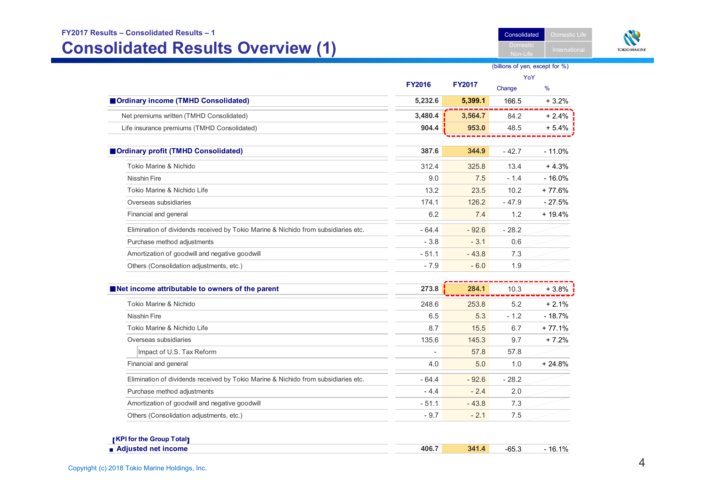#### **FY2017 Results – Consolidated Results – 1**

# **Consolidated Results Overview (1)**

Consolidated Domestic Life



#### (billions of yen, except for %)

Non-Li

|                                                                                    |               |               |         | YoY           |
|------------------------------------------------------------------------------------|---------------|---------------|---------|---------------|
|                                                                                    | <b>FY2016</b> | <b>FY2017</b> | Change  | $\frac{9}{6}$ |
| Ordinary income (TMHD Consolidated)                                                | 5,232.6       | 5,399.1       | 166.5   | $+3.2%$       |
| Net premiums written (TMHD Consolidated)                                           | 3,480.4       | 3,564.7       | 84.2    | $+2.4%$       |
| Life insurance premiums (TMHD Consolidated)                                        | 904.4         | 953.0         | 48.5    | $+5.4%$       |
|                                                                                    |               |               |         |               |
| Ordinary profit (TMHD Consolidated)                                                | 387.6         | 344.9         | $-42.7$ | $-11.0%$      |
| Tokio Marine & Nichido                                                             | 312.4         | 325.8         | 13.4    | $+4.3%$       |
| <b>Nisshin Fire</b>                                                                | 9.0           | 7.5           | $-1.4$  | $-16.0%$      |
| Tokio Marine & Nichido Life                                                        | 13.2          | 23.5          | 10.2    | $+77.6%$      |
| Overseas subsidiaries                                                              | 174.1         | 126.2         | $-47.9$ | $-27.5%$      |
| Financial and general                                                              | 6.2           | 7.4           | 1.2     | $+19.4%$      |
| Elimination of dividends received by Tokio Marine & Nichido from subsidiaries etc. | $-64.4$       | $-92.6$       | $-28.2$ |               |
| Purchase method adjustments                                                        | $-3.8$        | $-3.1$        | 0.6     |               |
| Amortization of goodwill and negative goodwill                                     | $-51.1$       | $-43.8$       | 7.3     |               |
| Others (Consolidation adjustments, etc.)                                           | $-7.9$        | $-6.0$        | 1.9     |               |
| Net income attributable to owners of the parent                                    | 273.8         | 284.1         | 10.3    | $+3.8%$       |
| Tokio Marine & Nichido                                                             | 248.6         | 253.8         | 5.2     | $+2.1%$       |
| <b>Nisshin Fire</b>                                                                | 6.5           | 5.3           | $-1.2$  | $-18.7%$      |
| Tokio Marine & Nichido Life                                                        | 8.7           | 15.5          | 6.7     | $+77.1%$      |
| Overseas subsidiaries                                                              | 135.6         | 145.3         | 9.7     | $+7.2%$       |
| Impact of U.S. Tax Reform                                                          |               | 57.8          | 57.8    |               |
| Financial and general                                                              | 4.0           | 5.0           | 1.0     | $+24.8%$      |
| Elimination of dividends received by Tokio Marine & Nichido from subsidiaries etc. | $-64.4$       | $-92.6$       | $-28.2$ |               |
| Purchase method adjustments                                                        | $-4.4$        | $-2.4$        | 2.0     |               |
| Amortization of goodwill and negative goodwill                                     | $-51.1$       | $-43.8$       | 7.3     |               |
| Others (Consolidation adjustments, etc.)                                           | $-9.7$        | $-2.1$        | 7.5     |               |

| $\blacksquare$ Adiusted net income | 406. .<br>$  -$ | 341<br>$\mathbf{A}$ | -65.J | 40/<br>16. |
|------------------------------------|-----------------|---------------------|-------|------------|
|                                    |                 |                     |       |            |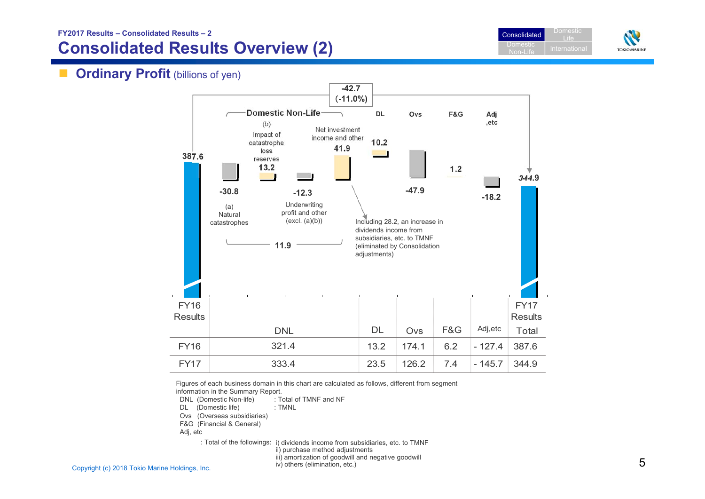**FY2017 Results – Consolidated Results – 2**

# **Consolidated Results Overview (2)**





# **Ordinary Profit** (billions of yen)



Figures of each business domain in this chart are calculated as follows, different from segment information in the Summary Report.

DNL (Domestic Non-life) : Total of TMNF and NF

DL (Domestic life) : TMNL

Ovs (Overseas subsidiaries)

F&G (Financial & General)

Adj, etc

: Total of the followings: i) dividends income from subsidiaries, etc. to TMNF ii) purchase method adjustments iii) amortization of goodwill and negative goodwill

iv) others (elimination, etc.)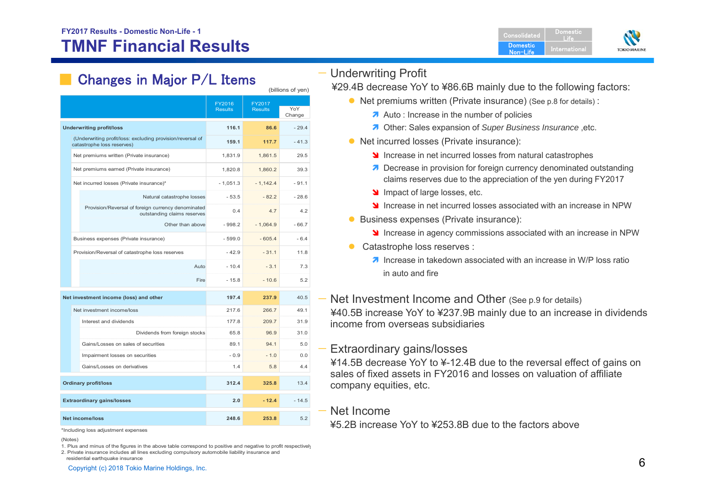

# Changes in Major P/L Items

| FY2016<br>FY2017<br>YoY<br><b>Results</b><br><b>Results</b><br>Change<br>116.1<br>$-29.4$<br><b>Underwriting profit/loss</b><br>86.6<br>(Underwriting profit/loss: excluding provision/reversal of<br>117.7<br>$-41.3$<br>159.1<br>catastrophe loss reserves)<br>Net premiums written (Private insurance)<br>29.5<br>1,831.9<br>1,861.5<br>Net premiums earned (Private insurance)<br>1,820.8<br>1,860.2<br>39.3<br>$-1,142.4$<br>$-91.1$<br>Net incurred losses (Private insurance)*<br>$-1,051.3$<br>$-53.5$<br>$-82.2$<br>$-28.6$<br>Natural catastrophe losses<br>Provision/Reversal of foreign currency denominated<br>4.2<br>0.4<br>4.7<br>outstanding claims reserves<br>$-66.7$<br>Other than above<br>$-998.2$<br>$-1.064.9$<br>$-6.4$<br>$-605.4$<br>Business expenses (Private insurance)<br>$-599.0$<br>Provision/Reversal of catastrophe loss reserves<br>$-31.1$<br>11.8<br>$-42.9$<br>7.3<br>Auto<br>$-10.4$<br>$-3.1$<br>5.2<br>Fire<br>$-15.8$<br>$-10.6$ |  |  |  |
|----------------------------------------------------------------------------------------------------------------------------------------------------------------------------------------------------------------------------------------------------------------------------------------------------------------------------------------------------------------------------------------------------------------------------------------------------------------------------------------------------------------------------------------------------------------------------------------------------------------------------------------------------------------------------------------------------------------------------------------------------------------------------------------------------------------------------------------------------------------------------------------------------------------------------------------------------------------------------|--|--|--|
|                                                                                                                                                                                                                                                                                                                                                                                                                                                                                                                                                                                                                                                                                                                                                                                                                                                                                                                                                                            |  |  |  |
|                                                                                                                                                                                                                                                                                                                                                                                                                                                                                                                                                                                                                                                                                                                                                                                                                                                                                                                                                                            |  |  |  |
|                                                                                                                                                                                                                                                                                                                                                                                                                                                                                                                                                                                                                                                                                                                                                                                                                                                                                                                                                                            |  |  |  |
|                                                                                                                                                                                                                                                                                                                                                                                                                                                                                                                                                                                                                                                                                                                                                                                                                                                                                                                                                                            |  |  |  |
|                                                                                                                                                                                                                                                                                                                                                                                                                                                                                                                                                                                                                                                                                                                                                                                                                                                                                                                                                                            |  |  |  |
|                                                                                                                                                                                                                                                                                                                                                                                                                                                                                                                                                                                                                                                                                                                                                                                                                                                                                                                                                                            |  |  |  |
|                                                                                                                                                                                                                                                                                                                                                                                                                                                                                                                                                                                                                                                                                                                                                                                                                                                                                                                                                                            |  |  |  |
|                                                                                                                                                                                                                                                                                                                                                                                                                                                                                                                                                                                                                                                                                                                                                                                                                                                                                                                                                                            |  |  |  |
|                                                                                                                                                                                                                                                                                                                                                                                                                                                                                                                                                                                                                                                                                                                                                                                                                                                                                                                                                                            |  |  |  |
|                                                                                                                                                                                                                                                                                                                                                                                                                                                                                                                                                                                                                                                                                                                                                                                                                                                                                                                                                                            |  |  |  |
|                                                                                                                                                                                                                                                                                                                                                                                                                                                                                                                                                                                                                                                                                                                                                                                                                                                                                                                                                                            |  |  |  |
|                                                                                                                                                                                                                                                                                                                                                                                                                                                                                                                                                                                                                                                                                                                                                                                                                                                                                                                                                                            |  |  |  |
|                                                                                                                                                                                                                                                                                                                                                                                                                                                                                                                                                                                                                                                                                                                                                                                                                                                                                                                                                                            |  |  |  |

| Net investment income (loss) and other |        | 237.9   | 40.5    |
|----------------------------------------|--------|---------|---------|
| Net investment income/loss             | 217.6  | 266.7   | 49.1    |
| Interest and dividends                 | 177.8  | 209.7   | 31.9    |
| Dividends from foreign stocks          | 65.8   | 96.9    | 31.0    |
| Gains/Losses on sales of securities    | 89.1   | 94.1    | 5.0     |
| Impairment losses on securities        | $-0.9$ | $-1.0$  | 0.0     |
| Gains/Losses on derivatives            | 1.4    | 5.8     | 4.4     |
| <b>Ordinary profit/loss</b>            | 312.4  | 325.8   | 13.4    |
| <b>Extraordinary gains/losses</b>      | 2.0    | $-12.4$ | $-14.5$ |
| <b>Net income/loss</b>                 | 248.6  | 253.8   | 5.2     |

\*Including loss adjustment expenses

1. Plus and minus of the figures in the above table correspond to positive and negative to profit respectively 2. Private insurance includes all lines excluding compulsory automobile liability insurance and

residential earthquake insurance

## — Underwriting Profit

(billions of yen)

- ¥29.4B decrease YoY to ¥86.6B mainly due to the following factors:
	- Net premiums written (Private insurance) (See p.8 for details) :
		- A Auto: Increase in the number of policies
		- **7** Other: Sales expansion of *Super Business Insurance*, etc.
	- Net incurred losses (Private insurance):
		- **Increase in net incurred losses from natural catastrophes**
		- **7** Decrease in provision for foreign currency denominated outstanding claims reserves due to the appreciation of the yen during FY2017
		- Impact of large losses, etc.
		- **If** increase in net incurred losses associated with an increase in NPW
	- **Business expenses (Private insurance):** 
		- **Increase in agency commissions associated with an increase in NPW**
	- Catastrophe loss reserves :
		- **7** Increase in takedown associated with an increase in W/P loss ratio in auto and fire
- Net Investment Income and Other (See p.9 for details) ¥40.5B increase YoY to ¥237.9B mainly due to an increase in dividends income from overseas subsidiaries
- Extraordinary gains/losses

¥14.5B decrease YoY to ¥-12.4B due to the reversal effect of gains on sales of fixed assets in FY2016 and losses on valuation of affiliate company equities, etc.

### — Net Income

¥5.2B increase YoY to ¥253.8B due to the factors above

<sup>(</sup>Notes)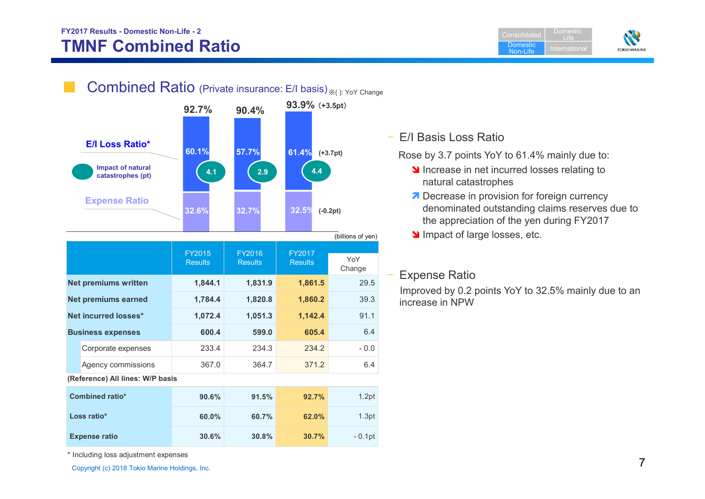## **FY2017 Results - Domestic Non-Life - 2 TMNF Combined Ratio**

Consolidated**Domestic**  Non-LifeDomestic LifeInternational





|                      |                                  |                          |                                 |                          | $\mu$         |
|----------------------|----------------------------------|--------------------------|---------------------------------|--------------------------|---------------|
|                      |                                  | FY2015<br><b>Results</b> | <b>FY2016</b><br><b>Results</b> | FY2017<br><b>Results</b> | YoY<br>Change |
|                      | <b>Net premiums written</b>      | 1,844.1                  | 1,831.9                         | 1,861.5                  | 29.5          |
|                      | <b>Net premiums earned</b>       | 1,784.4                  | 1,820.8                         | 1,860.2                  | 39.3          |
| Net incurred losses* |                                  | 1,072.4                  | 1,051.3                         | 1,142.4                  | 91.1          |
|                      | <b>Business expenses</b>         | 600.4                    | 599.0                           | 605.4                    | 6.4           |
|                      | Corporate expenses               | 233.4                    | 234.3                           | 234.2                    | $-0.0$        |
|                      | Agency commissions               | 367.0                    | 364.7                           | 371.2                    | 6.4           |
|                      | (Reference) All lines: W/P basis |                          |                                 |                          |               |
|                      | <b>Combined ratio*</b>           | 90.6%                    | 91.5%                           | 92.7%                    | 1.2pt         |
| Loss ratio*          |                                  | 60.0%                    | 60.7%                           | 62.0%                    | 1.3pt         |
|                      | <b>Expense ratio</b>             | 30.6%                    | 30.8%                           | 30.7%                    | $-0.1$ pt     |

## – E/I Basis Loss Ratio

Rose by 3.7 points YoY to 61.4% mainly due to:

- Increase in net incurred losses relating to natural catastrophes
- **7** Decrease in provision for foreign currency denominated outstanding claims reserves due to the appreciation of the yen during FY2017
- Impact of large losses, etc.

## Expense Ratio

Improved by 0.2 points YoY to 32.5% mainly due to an increase in NPW

\* Including loss adjustment expenses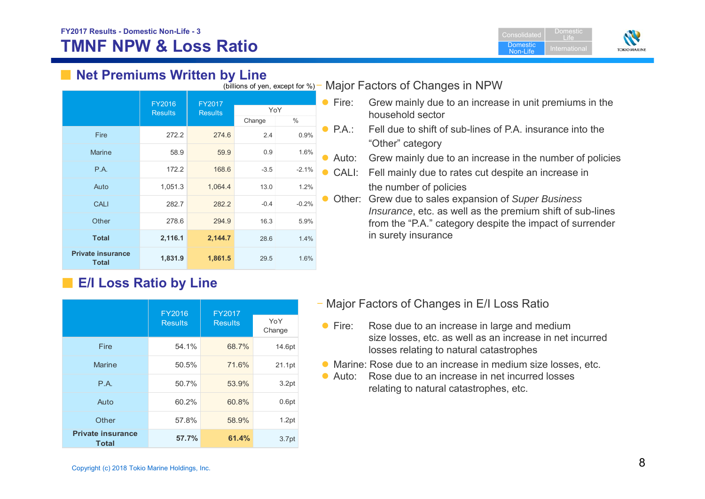

# ■ Net Premiums Written by Line

| (DIIIIOITS OF YELL, EXCEPT TOF 70)<br><b>IVIC</b> |                |                |        |         |   |
|---------------------------------------------------|----------------|----------------|--------|---------|---|
|                                                   | FY2016         | FY2017         |        |         | F |
|                                                   | <b>Results</b> | <b>Results</b> |        | YoY     |   |
|                                                   |                |                | Change | $\%$    |   |
| Fire                                              | 272.2          | 274.6          | 2.4    | 0.9%    | F |
| <b>Marine</b>                                     | 58.9           | 59.9           | 0.9    | 1.6%    | A |
| P.A.                                              | 172.2          | 168.6          | $-3.5$ | $-2.1%$ |   |
| Auto                                              | 1,051.3        | 1,064.4        | 13.0   | 1.2%    |   |
| <b>CALI</b>                                       | 282.7          | 282.2          | $-0.4$ | $-0.2%$ |   |
| Other                                             | 278.6          | 294.9          | 16.3   | 5.9%    |   |
| <b>Total</b>                                      | 2,116.1        | 2,144.7        | 28.6   | 1.4%    |   |
| <b>Private insurance</b><br><b>Total</b>          | 1,831.9        | 1,861.5        | 29.5   | 1.6%    |   |

# ■ **E/I Loss Ratio by Line**

|                                          | <b>FY2016</b>  | <b>FY2017</b>  |                   |  |
|------------------------------------------|----------------|----------------|-------------------|--|
|                                          | <b>Results</b> | <b>Results</b> | YoY<br>Change     |  |
| Fire                                     | 54.1%          | 68.7%          | 14.6pt            |  |
| <b>Marine</b>                            | 50.5%          | 71.6%          | 21.1pt            |  |
| P.A.                                     | 50.7%          | 53.9%          | 3.2pt             |  |
| Auto                                     | 60.2%          | 60.8%          | 0.6pt             |  |
| Other                                    | 57.8%          | 58.9%          | 1.2pt             |  |
| <b>Private insurance</b><br><b>Total</b> | 57.7%          | 61.4%          | 3.7 <sub>pt</sub> |  |

#### Major Factors of Changes in NPW (billions of yen, except for %)

- Fire: Grew mainly due to an increase in unit premiums in the household sector
- P.A.: Fell due to shift of sub-lines of P.A. insurance into the "Other" category
- Auto: Grew mainly due to an increase in the number of policies
- CALI: Fell mainly due to rates cut despite an increase in the number of policies
- Other: Grew due to sales expansion of *Super Business Insurance*, etc. as well as the premium shift of sub-lines from the "P.A." category despite the impact of surrender in surety insurance

- Major Factors of Changes in E/I Loss Ratio
- $\bullet$  Fire: Rose due to an increase in large and medium size losses, etc. as well as an increase in net incurred losses relating to natural catastrophes
- Marine: Rose due to an increase in medium size losses, etc.
- Auto: Rose due to an increase in net incurred losses relating to natural catastrophes, etc.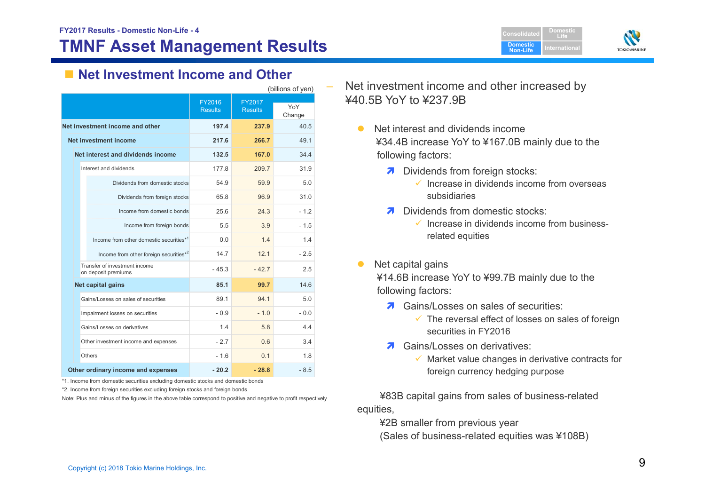# **TMNF Asset Management Results**





# ■ Net Investment Income and Other

| (billions of yen) |                                                      |                          |                          |               |
|-------------------|------------------------------------------------------|--------------------------|--------------------------|---------------|
|                   |                                                      | FY2016<br><b>Results</b> | FY2017<br><b>Results</b> | YoY<br>Change |
|                   | Net investment income and other                      | 197.4                    | 237.9                    | 40.5          |
|                   | Net investment income                                | 217.6                    | 266.7                    | 49.1          |
|                   | Net interest and dividends income                    | 132.5                    | 167.0                    | 34.4          |
|                   | Interest and dividends                               | 177.8                    | 209.7                    | 31.9          |
|                   | Dividends from domestic stocks                       | 54.9                     | 59.9                     | 5.0           |
|                   | Dividends from foreign stocks                        | 65.8                     | 96.9                     | 31.0          |
|                   | Income from domestic bonds                           | 25.6                     | 24 3                     | $-1.2$        |
|                   | Income from foreign bonds                            | 5.5                      | 3.9                      | $-1.5$        |
|                   | Income from other domestic securities*1              | 0 Q                      | 14                       | 14            |
|                   | Income from other foreign securities*2               | 147                      | 12.1                     | $-2.5$        |
|                   | Transfer of investment income<br>on deposit premiums | $-45.3$                  | $-42.7$                  | 2.5           |
|                   | Net capital gains                                    | 85.1                     | 99.7                     | 14.6          |
|                   | Gains/Losses on sales of securities                  | 89.1                     | 94 1                     | 5 O           |
|                   | Impairment losses on securities                      | $-0.9$                   | $-1.0$                   | $-0.0$        |
|                   | Gains/Losses on derivatives                          | 1.4                      | 5.8                      | 4.4           |
|                   | Other investment income and expenses                 | $-2.7$                   | 0.6                      | 3.4           |
|                   | Others                                               | $-1.6$                   | 0.1                      | 1.8           |
|                   | Other ordinary income and expenses                   | $-20.2$                  | $-28.8$                  | $-8.5$        |

\*1. Income from domestic securities excluding domestic stocks and domestic bonds

\*2. Income from foreign securities excluding foreign stocks and foreign bonds

Note: Plus and minus of the figures in the above table correspond to positive and negative to profit respectively

 Net investment income and other increased by ¥40.5B YoY to ¥237.9B

- $\bullet$  Net interest and dividends income ¥34.4B increase YoY to ¥167.0B mainly due to the following factors:
	- **7** Dividends from foreign stocks:
		- $\checkmark$  Increase in dividends income from overseas subsidiaries
	- **7** Dividends from domestic stocks:
		- $\checkmark$  Increase in dividends income from businessrelated equities
- $\bullet$ Net capital gains

¥14.6B increase YoY to ¥99.7B mainly due to the following factors:

- **7** Gains/Losses on sales of securities:
	- $\checkmark$  The reversal effect of losses on sales of foreign securities in FY2016
- **7** Gains/Losses on derivatives:
	- $\checkmark$  Market value changes in derivative contracts for foreign currency hedging purpose

¥83B capital gains from sales of business-related equities,

¥2B smaller from previous year (Sales of business-related equities was ¥108B)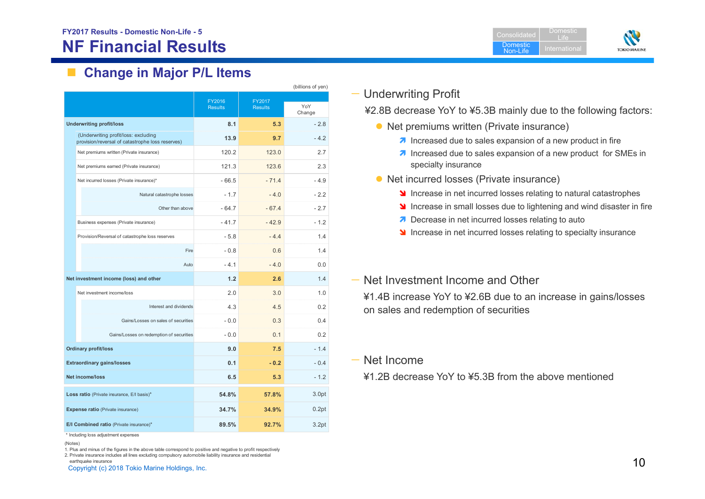# **NF Financial Results**

 $\mathcal{L}_{\text{max}}$ **Change in Major P/L Items**

|                                   | (billions of yen)                                                                        |                |                |        |  |
|-----------------------------------|------------------------------------------------------------------------------------------|----------------|----------------|--------|--|
|                                   |                                                                                          | FY2016         | FY2017         | YoY    |  |
|                                   |                                                                                          | <b>Results</b> | <b>Results</b> | Change |  |
|                                   | <b>Underwriting profit/loss</b>                                                          | 8.1            | 5.3            | $-2.8$ |  |
|                                   | (Underwriting profit/loss: excluding<br>provision/reversal of catastrophe loss reserves) | 13.9           | 9.7            | $-4.2$ |  |
|                                   | Net premiums written (Private insurance)                                                 | 120.2          | 123.0          | 2.7    |  |
|                                   | Net premiums earned (Private insurance)                                                  | 121.3          | 123.6          | 2.3    |  |
|                                   | Net incurred losses (Private insurance)*                                                 | $-66.5$        | $-71.4$        | $-4.9$ |  |
|                                   | Natural catastrophe losses                                                               | $-1.7$         | $-4.0$         | $-2.2$ |  |
|                                   | Other than above                                                                         | $-64.7$        | $-67.4$        | $-2.7$ |  |
|                                   | Business expenses (Private insurance)                                                    | $-41.7$        | $-42.9$        | $-1.2$ |  |
|                                   | Provision/Reversal of catastrophe loss reserves                                          | $-5.8$         | $-4.4$         | 1.4    |  |
|                                   | Fire                                                                                     | $-0.8$         | 0.6            | 1.4    |  |
|                                   | Auto                                                                                     | $-4.1$         | $-4.0$         | 0.0    |  |
|                                   | Net investment income (loss) and other                                                   | 1.2            | 2.6            | 1.4    |  |
|                                   | Net investment income/loss                                                               | 2.0            | 3.0            | 1.0    |  |
|                                   | Interest and dividends                                                                   | 4.3            | 4.5            | 0.2    |  |
|                                   | Gains/Losses on sales of securities                                                      | $-0.0$         | 0.3            | 0.4    |  |
|                                   | Gains/Losses on redemption of securities                                                 | $-0.0$         | 0.1            | 0.2    |  |
|                                   | <b>Ordinary profit/loss</b>                                                              | 9.0            | 7.5            | $-1.4$ |  |
| <b>Extraordinary gains/losses</b> |                                                                                          | 0.1            | $-0.2$         | $-0.4$ |  |
| <b>Net income/loss</b>            |                                                                                          | 6.5            | 5.3            | $-1.2$ |  |
|                                   | Loss ratio (Private insurance, E/I basis)*                                               | 54.8%          | 57.8%          | 3.0pt  |  |
|                                   | Expense ratio (Private insurance)                                                        | 34.7%          | 34.9%          | 0.2pt  |  |
|                                   | E/I Combined ratio (Private insurance)*                                                  | 89.5%          | 92.7%          | 3.2pt  |  |
|                                   | and the continues                                                                        |                |                |        |  |

\* Including loss adjustment expenses

(Notes)

1. Plus and minus of the figures in the above table correspond to positive and negative to profit respectively

earthquake insurance and the control of the Holdings, Inc.  $\sim$  10 2. Private insurance includes all lines excluding compulsory automobile liability insurance and residential earthquake insurance



ConsolidatedDomestic

DomesticLife



## — Underwriting Profit

¥2.8B decrease YoY to ¥5.3B mainly due to the following factors:

- Net premiums written (Private insurance)
	- $\lambda$  Increased due to sales expansion of a new product in fire
	- **7** Increased due to sales expansion of a new product for SMEs in specialty insurance
- Net incurred losses (Private insurance)
	- **If** Increase in net incurred losses relating to natural catastrophes
	- **If** Increase in small losses due to lightening and wind disaster in fire
	- Decrease in net incurred losses relating to auto
	- Increase in net incurred losses relating to specialty insurance

## — Net Investment Income and Other

¥1.4B increase YoY to ¥2.6B due to an increase in gains/losses on sales and redemption of securities

— Net Income

¥1.2B decrease YoY to ¥5.3B from the above mentioned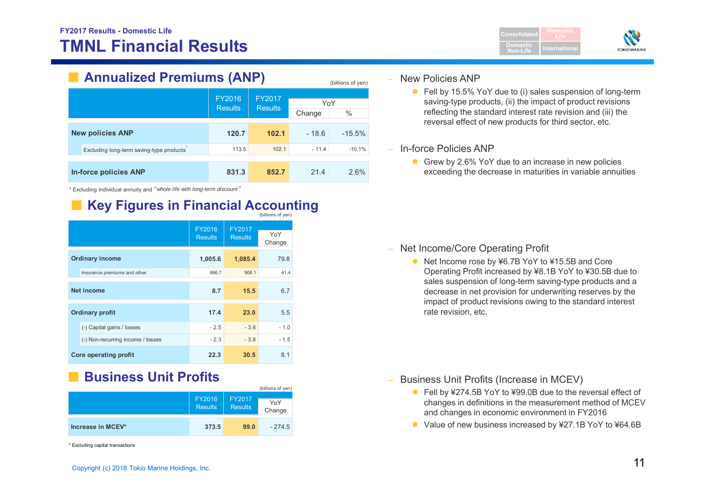

# ■ **Annualized Premiums (ANP)**

|  |                                          |                          |                          |         | $\sqrt{2}$ |
|--|------------------------------------------|--------------------------|--------------------------|---------|------------|
|  |                                          | FY2016<br><b>Results</b> | FY2017<br><b>Results</b> | YoY     |            |
|  |                                          |                          |                          | Change  | $\%$       |
|  | <b>New policies ANP</b>                  | 120.7                    | 102.1                    | $-18.6$ | $-15.5%$   |
|  | Excluding long-term saving-type products | 113.5                    | 102.1                    | $-11.4$ | $-10.1%$   |
|  |                                          |                          |                          |         |            |
|  | In-force policies ANP                    | 831.3                    | 852.7                    | 21.4    | 2.6%       |

\* Excluding individual annuity and "*whole life with long-term discount* "

# **Key Figures in Financial Accounting**

|                                   |                          |                          | (billions of yen) |
|-----------------------------------|--------------------------|--------------------------|-------------------|
|                                   | FY2016<br><b>Results</b> | FY2017<br><b>Results</b> | YoY<br>Change     |
| <b>Ordinary income</b>            | 1,005.6                  | 1,085.4                  | 79.8              |
| Insurance premiums and other      | 866.7                    | 908.1                    | 41.4              |
| <b>Net income</b>                 | 8.7                      | 15.5                     | 6.7               |
| <b>Ordinary profit</b>            | 17.4                     | 23.0                     | 5.5               |
| (-) Capital gains / losses        | $-2.5$                   | $-3.6$                   | $-1.0$            |
| (-) Non-recurring income / losses | $-2.3$                   | $-3.8$                   | $-1.5$            |
| <b>Core operating profit</b>      | 22.3                     | 30.5                     | 8.1               |

#### ■**Business Unit Profits**

|                   |                          |                                 | (billions of yen) |
|-------------------|--------------------------|---------------------------------|-------------------|
|                   | FY2016<br><b>Results</b> | <b>FY2017</b><br><b>Results</b> | YoY<br>Change     |
| Increase in MCEV* | 373.5                    | 99.0                            | $-274.5$          |

\* Excluding capital transactions

#### –New Policies ANP

(billions of yen)

● Fell by 15.5% YoY due to (i) sales suspension of long-term saving-type products, (ii) the impact of product revisions reflecting the standard interest rate revision and (iii) the reversal effect of new products for third sector, etc.

#### – In-force Policies ANP

Grew by 2.6% YoY due to an increase in new policies exceeding the decrease in maturities in variable annuities

#### – Net Income/Core Operating Profit

● Net Income rose by ¥6.7B YoY to ¥15.5B and Core Operating Profit increased by ¥8.1B YoY to ¥30.5B due to sales suspension of long-term saving-type products and a decrease in net provision for underwriting reserves by the impact of product revisions owing to the standard interest rate revision, etc.

–Business Unit Profits (Increase in MCEV)

- Fell by ¥274.5B YoY to ¥99.0B due to the reversal effect of changes in definitions in the measurement method of MCEV and changes in economic environment in FY2016
- Value of new business increased by ¥27.1B YoY to ¥64.6B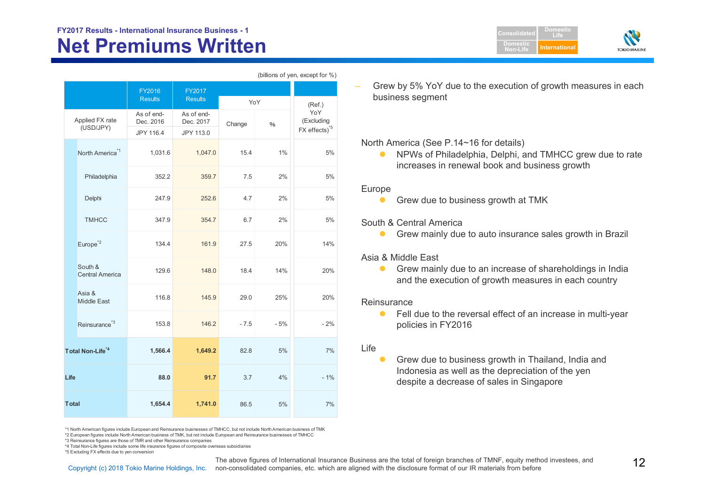# **Net Premiums Written FY2017 Results - International Insurance Business - 1 Consolidated**

|                              |                                   | FY2016<br>FY2017                     |                                      |        |       |                                                |  |
|------------------------------|-----------------------------------|--------------------------------------|--------------------------------------|--------|-------|------------------------------------------------|--|
|                              |                                   | <b>Results</b>                       | <b>Results</b>                       | YoY    |       | (Ref.)                                         |  |
|                              | Applied FX rate<br>(USD/JPY)      | As of end-<br>Dec. 2016<br>JPY 116.4 | As of end-<br>Dec. 2017<br>JPY 113.0 | Change | $\%$  | YoY<br>(Excluding<br>FX effects) <sup>*5</sup> |  |
|                              | North America <sup>*1</sup>       | 1,031.6                              | 1,047.0                              | 15.4   | 1%    | 5%                                             |  |
|                              | Philadelphia                      | 352.2                                | 359.7                                | 7.5    | 2%    | 5%                                             |  |
|                              | Delphi                            | 247.9                                | 252.6                                | 4.7    | 2%    | 5%                                             |  |
|                              | <b>TMHCC</b>                      | 347.9                                | 354.7                                | 6.7    | 2%    | 5%                                             |  |
|                              | Europe <sup>*2</sup>              | 134.4                                | 161.9                                | 27.5   | 20%   | 14%                                            |  |
|                              | South &<br><b>Central America</b> | 129.6                                | 148.0                                | 18.4   | 14%   | 20%                                            |  |
|                              | Asia &<br><b>Middle East</b>      | 116.8                                | 145.9                                | 29.0   | 25%   | 20%                                            |  |
|                              | Reinsurance <sup>*3</sup>         | 153.8                                | 146.2                                | $-7.5$ | $-5%$ | $-2%$                                          |  |
| Total Non-Life <sup>*4</sup> |                                   | 1,566.4                              | 1,649.2                              | 82.8   | 5%    | 7%                                             |  |
| Life                         |                                   | 88.0                                 | 91.7                                 | 3.7    | 4%    | $-1%$                                          |  |
| <b>T</b> otal                |                                   | 1,654.4                              | 1,741.0                              | 86.5   | 5%    | 7%                                             |  |

(billions of yen, except for %)

 Grew by 5% YoY due to the execution of growth measures in each business segment

**DomesticNon-Life**

**DomesticLifeInternationa** 

**TOKIO MARIN** 

#### North America (See P.14~16 for details)

 $\bullet$  NPWs of Philadelphia, Delphi, and TMHCC grew due to rate increases in renewal book and business growth

#### Europe

 $\bullet$ Grew due to business growth at TMK

#### South & Central America

 $\bullet$ Grew mainly due to auto insurance sales growth in Brazil

#### Asia & Middle East

 $\bullet$  Grew mainly due to an increase of shareholdings in India and the execution of growth measures in each country

#### **Reinsurance**

 $\bullet$  Fell due to the reversal effect of an increase in multi-year policies in FY2016

#### Life

 $\bullet$  Grew due to business growth in Thailand, India and Indonesia as well as the depreciation of the yen despite a decrease of sales in Singapore

\*1 North American figures include European and Reinsurance businesses of TMHCC, but not include North American business of TMK

\*2 European figures include North American business of TMK, but not include European and Reinsurance businesses of TMHCC

\*3 Reinsurance figures are those of TMR and other Reinsurance companies

\*4 Total Non-Life figures include some life insurance figures of composite overseas subsidiaries

\*5 Excluding FX effects due to yen conversion

The above figures of International Insurance Business are the total of foreign branches of TMNF, equity method investees, and Tartion of Schyright (c) 2018 Tokio Marine Holdings, Inc. non-consolidated companies, etc. which The above figures of International Insurance Business are the total of foreign branches of TMNF, equity method investees, and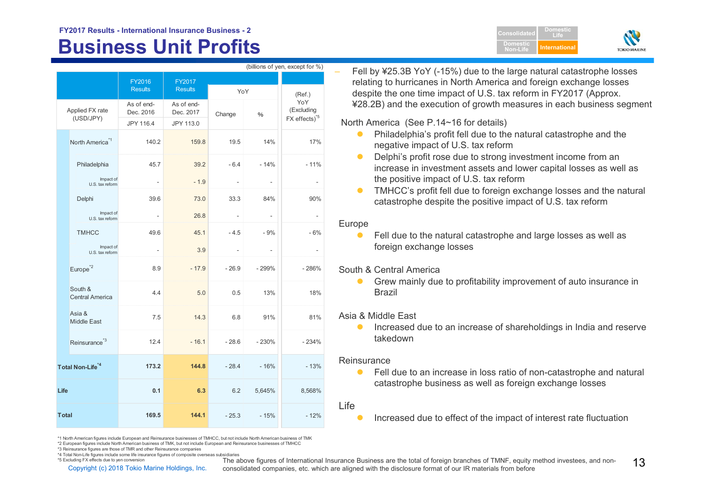# **Business Unit Profits Alternational Profits**

|                              | (billions of yen, except for %) |                                   |                                      |                                      |         |                          |                                                |  |
|------------------------------|---------------------------------|-----------------------------------|--------------------------------------|--------------------------------------|---------|--------------------------|------------------------------------------------|--|
|                              |                                 |                                   | FY2016                               | FY2017                               |         |                          |                                                |  |
|                              |                                 |                                   | <b>Results</b>                       | <b>Results</b>                       | YoY     |                          | (Ref.)                                         |  |
| Applied FX rate<br>(USD/JPY) |                                 |                                   | As of end-<br>Dec. 2016<br>JPY 116.4 | As of end-<br>Dec. 2017<br>JPY 113.0 | Change  | $\%$                     | YoY<br>(Excluding<br>FX effects) <sup>*5</sup> |  |
|                              | North America <sup>*1</sup>     |                                   | 140.2                                | 159.8                                | 19.5    | 14%                      | 17%                                            |  |
|                              |                                 | Philadelphia                      | 45.7                                 | 39.2                                 | $-6.4$  | $-14%$                   | $-11%$                                         |  |
|                              |                                 | Impact of<br>U.S. tax reform      | $\sim$                               | $-1.9$                               |         | $\overline{\phantom{a}}$ | $\overline{\phantom{a}}$                       |  |
|                              |                                 | Delphi                            | 39.6                                 | 73.0                                 | 33.3    | 84%                      | 90%                                            |  |
|                              |                                 | Impact of<br>U.S. tax reform      | $\overline{\phantom{a}}$             | 26.8                                 | ÷.      | $\overline{\phantom{a}}$ | $\overline{\phantom{a}}$                       |  |
|                              |                                 | <b>TMHCC</b>                      | 49.6                                 | 45.1                                 | $-4.5$  | $-9%$                    | $-6%$                                          |  |
|                              |                                 | Impact of<br>U.S. tax reform      | $\blacksquare$                       | 3.9                                  |         | $\overline{\phantom{a}}$ | $\overline{\phantom{a}}$                       |  |
|                              |                                 | Europe <sup>*2</sup>              | 8.9                                  | $-17.9$                              | $-26.9$ | $-299%$                  | $-286%$                                        |  |
|                              |                                 | South &<br><b>Central America</b> | 4.4                                  | 5.0                                  | 0.5     | 13%                      | 18%                                            |  |
|                              |                                 | Asia &<br><b>Middle East</b>      | 7.5                                  | 14.3                                 | 6.8     | 91%                      | 81%                                            |  |
|                              |                                 | Reinsurance <sup>*3</sup>         | 12.4                                 | $-16.1$                              | $-28.6$ | $-230%$                  | $-234%$                                        |  |
|                              | Total Non-Life <sup>*4</sup>    |                                   | 173.2                                | 144.8                                | $-28.4$ | $-16%$                   | $-13%$                                         |  |
| Life                         |                                 |                                   | 0.1                                  | 6.3                                  | 6.2     | 5,645%                   | 8,568%                                         |  |
| <b>Total</b>                 |                                 |                                   | 169.5                                | 144.1                                | $-25.3$ | $-15%$                   | $-12%$                                         |  |

 Fell by ¥25.3B YoY (-15%) due to the large natural catastrophe losses relating to hurricanes in North America and foreign exchange losses despite the one time impact of U.S. tax reform in FY2017 (Approx. ¥28.2B) and the execution of growth measures in each business segment

**ConsolidatedDomesticNon-Life**

**DomesticLife**

**TOKIO MARIN** 

North America (See P.14~16 for details)

- $\bullet$  Philadelphia's profit fell due to the natural catastrophe and the negative impact of U.S. tax reform
- $\bullet$  Delphi's profit rose due to strong investment income from an increase in investment assets and lower capital losses as well as the positive impact of U.S. tax reform
- $\bullet$  TMHCC's profit fell due to foreign exchange losses and the natural catastrophe despite the positive impact of U.S. tax reform

#### Europe

 $\bullet$  Fell due to the natural catastrophe and large losses as well as foreign exchange losses

South & Central America

 $\bullet$  Grew mainly due to profitability improvement of auto insurance in Brazil

Asia & Middle East

 $\bullet$  Increased due to an increase of shareholdings in India and reserve takedown

#### **Reinsurance**

 $\bullet$  Fell due to an increase in loss ratio of non-catastrophe and natural catastrophe business as well as foreign exchange losses

#### Life

 $\bullet$ Increased due to effect of the impact of interest rate fluctuation

\*1 North American figures include European and Reinsurance businesses of TMHCC, but not include North American business of TMK

\*2 European figures include North American business of TMK, but not include European and Reinsurance businesses of TMHCC

\*3 Reinsurance figures are those of TMR and other Reinsurance companies

\*4 Total Non-Life figures include some life insurance figures of composite overseas subsidiaries

\*5 Excluding FX effects due to yen conversion

The above figures of International Insurance Business are the total of foreign branches of TMNF, equity method investees, and non-<br>Copyright (c) 2018 Tokio Marine Holdings, Inc. consolidated companies. etc. which are al consolidated companies, etc. which are aligned with the disclosure format of our IR materials from before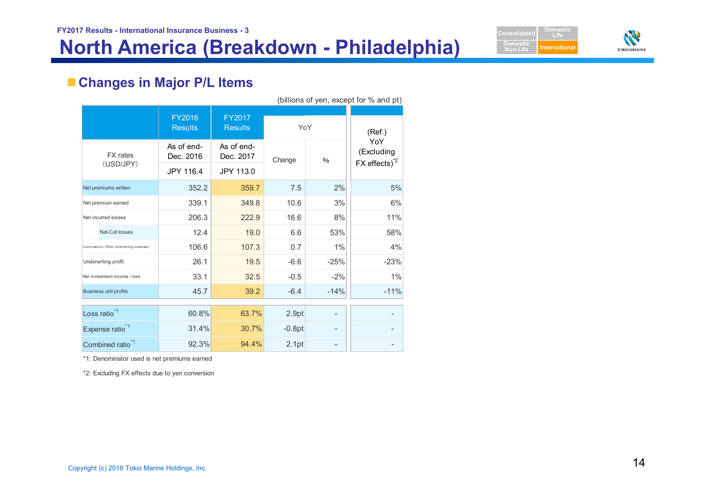



# **Changes in Major P/L Items**

|                              | (billions of year, except for 70 and pt)  |                          |                         |          |               |                                         |
|------------------------------|-------------------------------------------|--------------------------|-------------------------|----------|---------------|-----------------------------------------|
|                              |                                           | FY2016<br><b>Results</b> | (Ref.)                  |          |               |                                         |
|                              | <b>FX</b> rates<br>(USD/JPY)              | As of end-<br>Dec. 2016  | As of end-<br>Dec. 2017 | Change   | $\frac{0}{0}$ | YoY<br>(Excluding<br>$FX$ effects) $^2$ |
|                              |                                           | JPY 116.4                | JPY 113.0               |          |               |                                         |
|                              | Net premiums written                      | 352.2                    | 359.7                   | 7.5      | 2%            | 5%                                      |
|                              | Net premium earned                        | 339.1                    | 349.8                   | 10.6     | 3%            | 6%                                      |
| Net incurred losses          |                                           | 206.3                    | 222.9                   | 16.6     | 8%            | 11%                                     |
|                              | Nat-Cat losses                            | 12.4                     | 19.0                    | 6.6      | 53%           | 58%                                     |
|                              | Commissions / Other Underwriting expenses | 106.6                    | 107.3                   | 0.7      | 1%            | 4%                                      |
|                              | Underwriting profit                       | 26.1                     | 19.5                    | $-6.6$   | $-25%$        | $-23%$                                  |
|                              | Net investment income / loss              | 33.1                     | 32.5                    | $-0.5$   | $-2%$         | 1%                                      |
|                              | <b>Business unit profits</b>              | 45.7                     | 39.2                    | $-6.4$   | $-14%$        | $-11%$                                  |
|                              | Loss ratio <sup>*1</sup>                  | 60.8%                    | 63.7%                   | 2.9pt    |               |                                         |
|                              | Expense ratio <sup>*1</sup>               | 31.4%                    | 30.7%                   | $-0.8pt$ |               |                                         |
| Combined ratio <sup>*1</sup> |                                           | 92.3%                    | 94.4%                   | 2.1pt    |               |                                         |

 $(billione of von  $even$  of  $0$  and  $nt$ )$ 

\*1: Denominator used is net premiums earned

\*2: Excluding FX effects due to yen conversion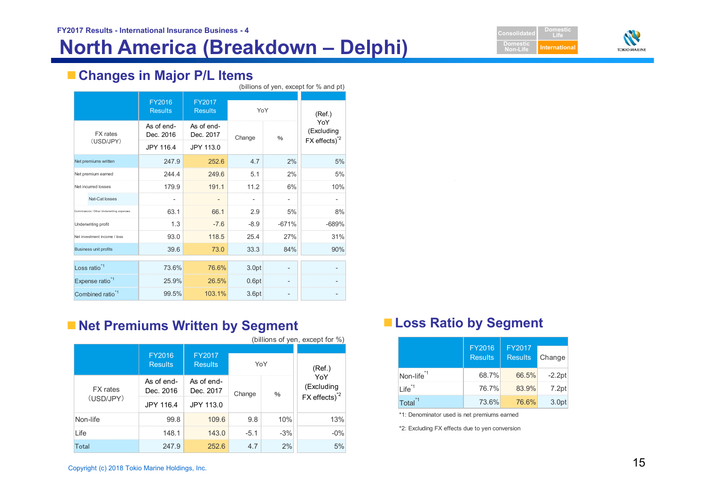# **North America (Breakdown – Delphi) International**





# **Changes in Major P/L Items**

|                              |                                           |                          |                                 |             |               | (billions of yen, except for % and pt)        |
|------------------------------|-------------------------------------------|--------------------------|---------------------------------|-------------|---------------|-----------------------------------------------|
|                              |                                           | FY2016<br><b>Results</b> | <b>FY2017</b><br><b>Results</b> | YoY         |               | (Ref.)                                        |
| <b>FX</b> rates              |                                           | As of end-<br>Dec. 2016  | As of end-<br>Dec. 2017         | Change      | $\frac{0}{0}$ | YoY<br>(Excluding<br>FX effects) <sup>2</sup> |
|                              | (USD/JPY)                                 | JPY 116.4                | JPY 113.0                       |             |               |                                               |
|                              | Net premiums written                      | 247.9                    | 252.6                           | 4.7         | 2%            | 5%                                            |
|                              | Net premium earned                        | 244.4                    | 249.6                           | 5.1         | 2%            | 5%                                            |
| Net incurred losses          |                                           | 179.9                    | 191.1                           | 11.2        | 6%            | 10%                                           |
|                              | Nat-Cat losses                            |                          |                                 |             |               |                                               |
|                              | Commissions / Other Underwriting expenses | 63.1                     | 66.1                            | 2.9         | 5%            | 8%                                            |
|                              | Underwriting profit                       | 1.3                      | $-7.6$                          | $-8.9$      | $-671%$       | $-689%$                                       |
|                              | Net investment income / loss              | 93.0                     | 118.5                           | 25.4<br>27% |               | 31%                                           |
|                              | <b>Business unit profits</b>              | 39.6                     | 73.0                            | 33.3        | 84%           | 90%                                           |
|                              | Loss ratio <sup>*1</sup>                  | 73.6%                    | 76.6%                           | 3.0pt       |               |                                               |
| Expense ratio <sup>*1</sup>  |                                           | 25.9%                    | 26.5%                           | 0.6pt       |               |                                               |
| Combined ratio <sup>*1</sup> |                                           | 99.5%                    | 103.1%                          | 3.6pt       |               |                                               |

# **Net Premiums Written by Segment Loss Ratio by Segment**

| (billions of yen, except for %) |                          |                          |             |       |                                                              |  |  |  |  |
|---------------------------------|--------------------------|--------------------------|-------------|-------|--------------------------------------------------------------|--|--|--|--|
|                                 | FY2016<br><b>Results</b> | FY2017<br><b>Results</b> | YoY         |       | (Ref.)                                                       |  |  |  |  |
| <b>FX</b> rates                 | As of end-<br>Dec. 2016  | As of end-<br>Dec. 2017  | Change<br>% |       | YoY<br>(Excluding<br>$FX$ effects) <sup><math>2</math></sup> |  |  |  |  |
| (USD/JPY)                       | JPY 116.4                | JPY 113.0                |             |       |                                                              |  |  |  |  |
| Non-life                        | 99.8                     | 109.6                    | 10%<br>9.8  |       | 13%                                                          |  |  |  |  |
| Life                            | 148.1                    | 143.0                    | $-5.1$      | $-3%$ | $-0\%$                                                       |  |  |  |  |
| Total                           | 247.9                    | 252.6                    | 4.7         | 2%    | 5%                                                           |  |  |  |  |

|                        | FY2016<br><b>Results</b> | <b>FY2017</b><br><b>Results</b> | Change   |
|------------------------|--------------------------|---------------------------------|----------|
| Non-life <sup>*1</sup> | 68.7%                    | 66.5%                           | $-2.2pt$ |
| $Life^{\ast 1}$        | 76.7%                    | 83.9%                           | 7.2pt    |
| Total <sup>*1</sup>    | 73.6%                    | 76.6%                           | 3.0pt    |

\*1: Denominator used is net premiums earned

\*2: Excluding FX effects due to yen conversion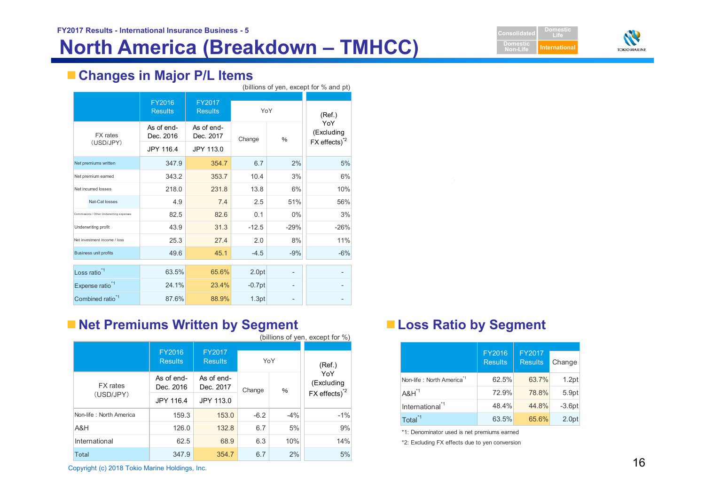



# **Changes in Major P/L Items**

|                              | (billions of yen, except for % and pt)    |                          |                          |          |               |                                                              |
|------------------------------|-------------------------------------------|--------------------------|--------------------------|----------|---------------|--------------------------------------------------------------|
|                              |                                           | FY2016<br><b>Results</b> | FY2017<br><b>Results</b> | YoY      |               | (Ref.)                                                       |
| <b>FX</b> rates              |                                           | As of end-<br>Dec. 2016  | As of end-<br>Dec. 2017  | Change   | $\frac{0}{0}$ | YoY<br>(Excluding<br>$FX$ effects) <sup><math>2</math></sup> |
|                              | (USD/JPY)                                 | JPY 116.4                | JPY 113.0                |          |               |                                                              |
|                              | Net premiums written                      | 347.9                    | 354.7                    | 6.7      | 2%            | 5%                                                           |
|                              | Net premium earned                        | 343.2                    | 353.7                    | 10.4     | 3%            | 6%                                                           |
| Net incurred losses          | 218.0                                     | 231.8                    | 13.8                     | 6%       | 10%           |                                                              |
|                              | Nat-Cat losses                            | 4.9                      | 7.4                      | 2.5      | 51%           | 56%                                                          |
|                              | Commissions / Other Underwriting expenses | 82.5                     | 82.6                     | 0.1      | 0%            | 3%                                                           |
|                              | Underwriting profit                       | 43.9                     | 31.3                     | $-12.5$  | $-29%$        | $-26%$                                                       |
|                              | Net investment income / loss              | 25.3                     | 27.4                     | 2.0      | 8%            | 11%                                                          |
|                              | <b>Business unit profits</b>              | 49.6                     | 45.1                     | $-4.5$   | $-9%$         | $-6%$                                                        |
|                              | Loss ratio <sup>*1</sup>                  | 63.5%                    | 65.6%                    | 2.0pt    |               |                                                              |
|                              | Expense ratio <sup>*1</sup>               | 24.1%                    | 23.4%                    | $-0.7pt$ |               |                                                              |
| Combined ratio <sup>*1</sup> |                                           | 87.6%                    | 88.9%                    | 1.3pt    |               |                                                              |

# **Net Premiums Written by Segment Access Patio by Segment**

|                                                |                          |                                 |        |       | (billions of yen, except for %)                              |                                                |                          |                          |          |
|------------------------------------------------|--------------------------|---------------------------------|--------|-------|--------------------------------------------------------------|------------------------------------------------|--------------------------|--------------------------|----------|
|                                                | FY2016<br><b>Results</b> | <b>FY2017</b><br><b>Results</b> |        | YoY   | (Ref.)                                                       |                                                | FY2016<br><b>Results</b> | FY2017<br><b>Results</b> | Change   |
| <b>FX</b> rates                                | As of end-<br>Dec. 2016  | As of end-<br>Dec. 2017         |        |       | YoY<br>(Excluding<br>$FX$ effects) <sup><math>2</math></sup> | Non-life: North America <sup>*1</sup>          | 62.5%                    | 63.7%                    | 1.2pt    |
| (USD/JPY)                                      |                          |                                 | Change | $\%$  |                                                              | $A&H^{\prime\prime}$                           | 72.9%                    | 78.8%                    | 5.9pt    |
|                                                | JPY 116.4                | JPY 113.0                       |        |       |                                                              | International <sup>*1</sup>                    | 48.4%                    | 44.8%                    | $-3.6pt$ |
| Non-life: North America                        | 159.3                    | 153.0                           | $-6.2$ | $-4%$ | $-1%$                                                        | Total <sup>*1</sup>                            | 63.5%                    | 65.6%                    | 2.0pt    |
| A&H                                            | 126.0                    | 132.8                           | 6.7    | 5%    | 9%                                                           | *1: Denominator used is net premiums earned    |                          |                          |          |
| International                                  | 62.5                     | 68.9                            | 6.3    | 10%   | 14%                                                          | *2: Excluding FX effects due to yen conversion |                          |                          |          |
| Total                                          | 347.9                    | 354.7                           | 6.7    | 2%    | 5%                                                           |                                                |                          |                          |          |
| Copyright (c) 2018 Tokio Marine Holdings, Inc. |                          |                                 |        |       |                                                              |                                                |                          |                          |          |

|                                       | FY2016<br><b>Results</b> | FY2017<br><b>Results</b> | Change   |
|---------------------------------------|--------------------------|--------------------------|----------|
| Non-life: North America <sup>*1</sup> | 62.5%                    | 63.7%                    | 1.2pt    |
| $A&H^{\dagger}$                       | 72.9%                    | 78.8%                    | 5.9pt    |
| International <sup>"1</sup>           | 48.4%                    | 44.8%                    | $-3.6pt$ |
| Total <sup>*1</sup>                   | 63.5%                    | 65.6%                    | 2.0pt    |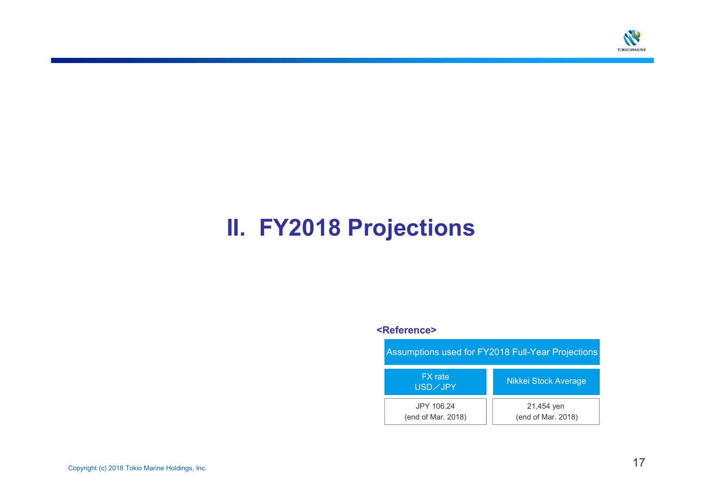

# **II. FY2018 Projections**

#### **<Reference>**

| Assumptions used for FY2018 Full-Year Projections |                                  |  |  |  |
|---------------------------------------------------|----------------------------------|--|--|--|
| <b>FX</b> rate<br>USD/JPY                         | <b>Nikkei Stock Average</b>      |  |  |  |
| JPY 106.24<br>(end of Mar. 2018)                  | 21,454 yen<br>(end of Mar. 2018) |  |  |  |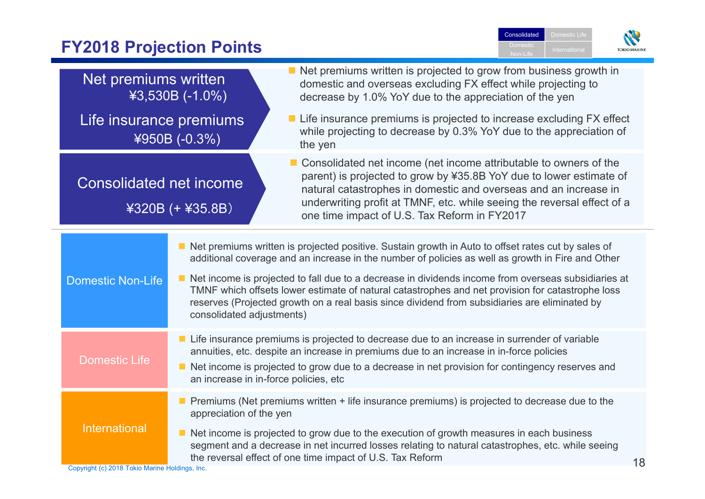#### **Consolidated** Domestic Life **FY2018 Projection Points** Domestic**TOKIOMAR** Non-Life Net premiums written is projected to grow from business growth in Net premiums written domestic and overseas excluding FX effect while projecting to ¥3,530B (-1.0%) decrease by 1.0% YoY due to the appreciation of the yen Life insurance premiums is projected to increase excluding FX effect Life insurance premiums while projecting to decrease by 0.3% YoY due to the appreciation of ¥950B (-0.3%) the yen ■ Consolidated net income (net income attributable to owners of the parent) is projected to grow by ¥35.8B YoY due to lower estimate of Consolidated net income natural catastrophes in domestic and overseas and an increase in underwriting profit at TMNF, etc. while seeing the reversal effect of a ¥320B (+ ¥35.8B) one time impact of U.S. Tax Reform in FY2017 ■ Net premiums written is projected positive. Sustain growth in Auto to offset rates cut by sales of additional coverage and an increase in the number of policies as well as growth in Fire and Other ■ Net income is projected to fall due to a decrease in dividends income from overseas subsidiaries at Domestic Non-Life TMNF which offsets lower estimate of natural catastrophes and net provision for catastrophe loss reserves (Projected growth on a real basis since dividend from subsidiaries are eliminated by consolidated adjustments) ■ Life insurance premiums is projected to decrease due to an increase in surrender of variable annuities, etc. despite an increase in premiums due to an increase in in-force policies Domestic Life ■ Net income is projected to grow due to a decrease in net provision for contingency reserves and an increase in in-force policies, etc **Premiums (Net premiums written + life insurance premiums) is projected to decrease due to the** appreciation of the yen International $\blacksquare$  Net income is projected to grow due to the execution of growth measures in each business segment and a decrease in net incurred losses relating to natural catastrophes, etc. while seeing

the reversal effect of one time impact of U.S. Tax Reform

Copyright (c) 2018 Tokio Marine Holdings, Inc.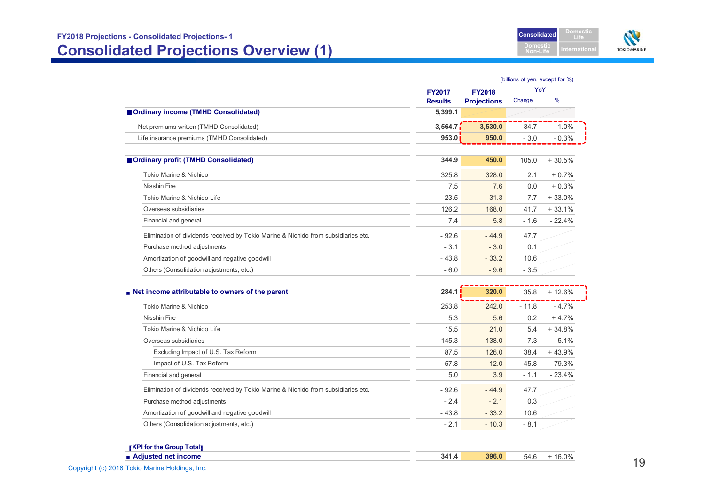

|                                                                                    | (billions of yen, except for %) |                    |         |          |  |
|------------------------------------------------------------------------------------|---------------------------------|--------------------|---------|----------|--|
|                                                                                    | <b>FY2017</b>                   | <b>FY2018</b>      | YoY     |          |  |
|                                                                                    | <b>Results</b>                  | <b>Projections</b> | Change  | %        |  |
| Ordinary income (TMHD Consolidated)                                                | 5,399.1                         |                    |         |          |  |
| Net premiums written (TMHD Consolidated)                                           | 3,564.7                         | 3,530.0            | $-34.7$ | $-1.0%$  |  |
| Life insurance premiums (TMHD Consolidated)                                        | 953.0                           | 950.0              | $-3.0$  | $-0.3%$  |  |
| Ordinary profit (TMHD Consolidated)                                                | 344.9                           | 450.0              | 105.0   | $+30.5%$ |  |
| Tokio Marine & Nichido                                                             | 325.8                           | 328.0              | 2.1     | $+0.7%$  |  |
| <b>Nisshin Fire</b>                                                                | 7.5                             | 7.6                | 0.0     | $+0.3%$  |  |
| Tokio Marine & Nichido Life                                                        | 23.5                            | 31.3               | 7.7     | $+33.0%$ |  |
| Overseas subsidiaries                                                              | 126.2                           | 168.0              | 41.7    | $+33.1%$ |  |
| Financial and general                                                              | 7.4                             | 5.8                | $-1.6$  | $-22.4%$ |  |
| Elimination of dividends received by Tokio Marine & Nichido from subsidiaries etc. | $-92.6$                         | $-44.9$            | 47.7    |          |  |
| Purchase method adjustments                                                        | $-3.1$                          | $-3.0$             | 0.1     |          |  |
| Amortization of goodwill and negative goodwill                                     | $-43.8$                         | $-33.2$            | 10.6    |          |  |
| Others (Consolidation adjustments, etc.)                                           | $-6.0$                          | $-9.6$             | $-3.5$  |          |  |
| Net income attributable to owners of the parent                                    | 284.1                           | 320.0              | 35.8    | $+12.6%$ |  |
| Tokio Marine & Nichido                                                             | 253.8                           | 242.0              | $-11.8$ | $-4.7%$  |  |
| <b>Nisshin Fire</b>                                                                | 5.3                             | 5.6                | 0.2     | $+4.7%$  |  |
| Tokio Marine & Nichido Life                                                        | 15.5                            | 21.0               | 5.4     | $+34.8%$ |  |
| Overseas subsidiaries                                                              | 145.3                           | 138.0              | $-7.3$  | $-5.1%$  |  |
| Excluding Impact of U.S. Tax Reform                                                | 87.5                            | 126.0              | 38.4    | $+43.9%$ |  |
| Impact of U.S. Tax Reform                                                          | 57.8                            | 12.0               | $-45.8$ | $-79.3%$ |  |
| Financial and general                                                              | 5.0                             | 3.9                | $-1.1$  | $-23.4%$ |  |
| Elimination of dividends received by Tokio Marine & Nichido from subsidiaries etc. | $-92.6$                         | $-44.9$            | 47.7    |          |  |
| Purchase method adjustments                                                        | $-2.4$                          | $-2.1$             | 0.3     |          |  |
| Amortization of goodwill and negative goodwill                                     | $-43.8$                         | $-33.2$            | 10.6    |          |  |
| Others (Consolidation adjustments, etc.)                                           | $-2.1$                          | $-10.3$            | $-8.1$  |          |  |

| <b>[KPI for the Group Total]</b> |       |       |      |                        |
|----------------------------------|-------|-------|------|------------------------|
| Adjusted net income              | 341.4 | 396.0 | 54 L | $\dot{\mathrm{o}}.0\%$ |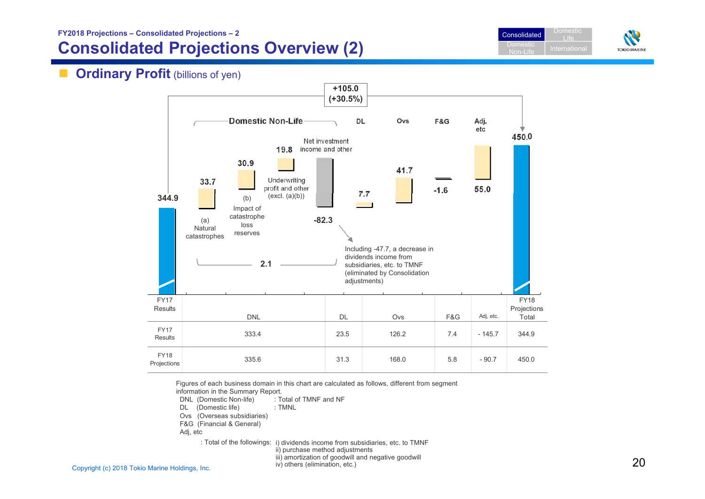# **Consolidated Projections Overview (2)**





#### $\blacksquare$ **Ordinary Profit** (billions of yen)



Figures of each business domain in this chart are calculated as follows, different from segment

information in the Summary Report.

DNL (Domestic Non-life) : Total of TMNF and NF

DL (Domestic life) : TMNL

Ovs (Overseas subsidiaries)

F&G (Financial & General)

Adj, etc

: Total of the followings: i) dividends income from subsidiaries, etc. to TMNF ii) purchase method adjustments

iii) amortization of goodwill and negative goodwill iv) others (elimination, etc.)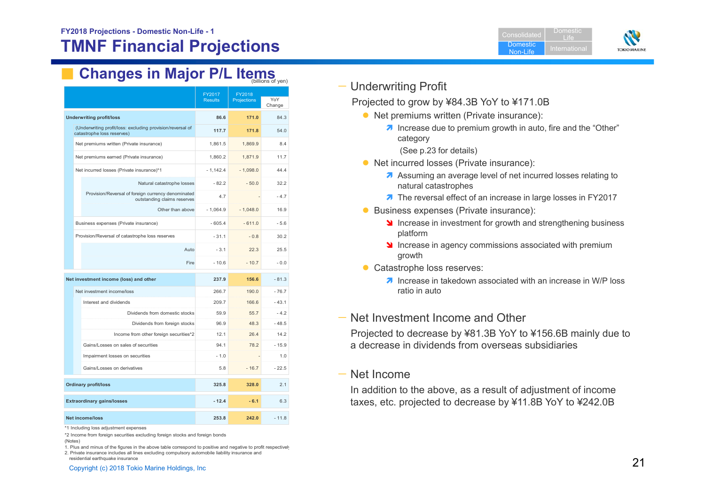

# **Examples in Major P/L Items**

|                             |                                                                                          |                          |                              | , ,           |
|-----------------------------|------------------------------------------------------------------------------------------|--------------------------|------------------------------|---------------|
|                             |                                                                                          | FY2017<br><b>Results</b> | FY2018<br><b>Projections</b> | YoY<br>Change |
|                             | <b>Underwriting profit/loss</b>                                                          | 86.6                     | 171.0                        | 84.3          |
|                             | (Underwriting profit/loss: excluding provision/reversal of<br>catastrophe loss reserves) | 117.7                    | 171.8                        | 54.0          |
|                             | Net premiums written (Private insurance)                                                 | 1,861.5                  | 1,869.9                      | 8.4           |
|                             | Net premiums earned (Private insurance)                                                  | 1.860.2                  | 1.871.9                      | 11.7          |
|                             | Net incurred losses (Private insurance)*1                                                | $-1,142.4$               | $-1,098.0$                   | 44.4          |
|                             | Natural catastrophe losses                                                               | $-82.2$                  | $-50.0$                      | 32.2          |
|                             | Provision/Reversal of foreign currency denominated<br>outstanding claims reserves        | 4.7                      |                              | $-4.7$        |
|                             | Other than above                                                                         | $-1,064.9$               | $-1,048.0$                   | 16.9          |
|                             | Business expenses (Private insurance)                                                    | $-605.4$                 | $-611.0$                     | $-5.6$        |
|                             | Provision/Reversal of catastrophe loss reserves                                          | $-31.1$                  | $-0.8$                       | 30.2          |
|                             | Auto                                                                                     | $-3.1$                   | 22.3                         | 25.5          |
|                             | Fire                                                                                     | $-10.6$                  | $-10.7$                      | $-0.0$        |
|                             | Net investment income (loss) and other                                                   | 237.9                    | 156.6                        | $-81.3$       |
|                             | Net investment income/loss                                                               | 266.7                    | 190.0                        | $-76.7$       |
|                             | Interest and dividends                                                                   | 209.7                    | 166.6                        | $-43.1$       |
|                             | Dividends from domestic stocks                                                           | 59.9                     | 55.7                         | $-4.2$        |
|                             | Dividends from foreign stocks                                                            | 96.9                     | 48.3                         | $-48.5$       |
|                             | Income from other foreign securities*2                                                   | 12.1                     | 26.4                         | 14.2          |
|                             | Gains/Losses on sales of securities                                                      | 94.1                     | 78.2                         | $-15.9$       |
|                             | Impairment losses on securities                                                          | $-1.0$                   |                              | 1.0           |
|                             | Gains/Losses on derivatives                                                              | 5.8                      | $-16.7$                      | $-22.5$       |
| <b>Ordinary profit/loss</b> |                                                                                          | 325.8                    | 328.0                        | 2.1           |
|                             | <b>Extraordinary gains/losses</b>                                                        | $-12.4$                  | $-6.1$                       | 6.3           |
|                             | Net income/loss                                                                          | 253.8                    | 242.0                        | $-11.8$       |

\*1 Including loss adjustment expenses

1. Plus and minus of the figures in the above table correspond to positive and negative to profit respectively

2. Private insurance includes all lines excluding compulsory automobile liability insurance and residential earthquake insurance

### — Underwriting Profit

Projected to grow by ¥84.3B YoY to ¥171.0B

- Net premiums written (Private insurance):
	- $\lambda$  Increase due to premium growth in auto, fire and the "Other" category
		- (See p.23 for details)
- Net incurred losses (Private insurance):
	- A Assuming an average level of net incurred losses relating to natural catastrophes
	- **7** The reversal effect of an increase in large losses in FY2017
- **Business expenses (Private insurance):** 
	- Increase in investment for growth and strengthening business platform
	- If Increase in agency commissions associated with premium growth
- Catastrophe loss reserves:
	- $\lambda$  Increase in takedown associated with an increase in W/P loss ratio in auto

### — Net Investment Income and Other

Projected to decrease by ¥81.3B YoY to ¥156.6B mainly due to <sup>a</sup> decrease in dividends from overseas subsidiaries

### — Net Income

In addition to the above, as a result of adjustment of income taxes, etc. projected to decrease by ¥11.8B YoY to ¥242.0B

<sup>\*2</sup> Income from foreign securities excluding foreign stocks and foreign bonds

<sup>(</sup>Notes)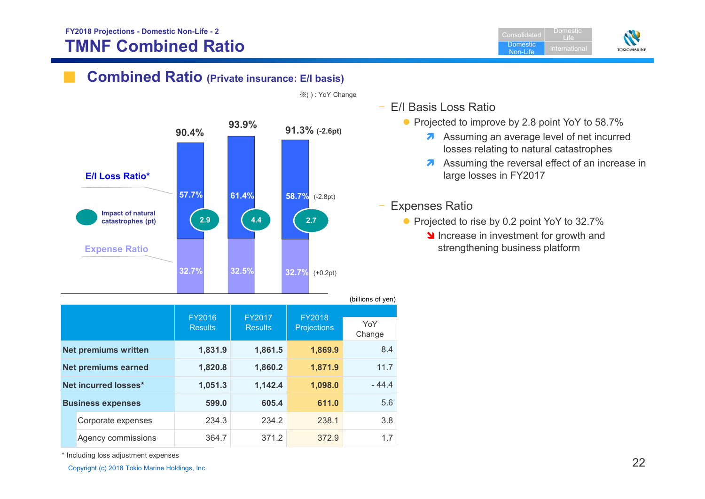## **FY2018 Projections - Domestic Non-Life - 2 TMNF Combined Ratio**

ConsolidatedDomestic Non-LifeLife

Domestic



# **Combined Ratio (Private insurance: E/I basis)**



|  | (DIIIIONS OF YELL)          |                          |                          |                              |               |  |
|--|-----------------------------|--------------------------|--------------------------|------------------------------|---------------|--|
|  |                             | FY2016<br><b>Results</b> | FY2017<br><b>Results</b> | FY2018<br><b>Projections</b> | YoY<br>Change |  |
|  | <b>Net premiums written</b> | 1,831.9                  | 1,861.5                  | 1,869.9                      | 8.4           |  |
|  | <b>Net premiums earned</b>  | 1,820.8                  | 1,860.2                  | 1,871.9                      | 11.7          |  |
|  | Net incurred losses*        | 1,051.3                  | 1,142.4                  | 1,098.0                      | $-44.4$       |  |
|  | <b>Business expenses</b>    | 599.0                    | 605.4                    | 611.0                        | 5.6           |  |
|  | Corporate expenses          | 234.3                    | 234.2                    | 238.1                        | 3.8           |  |
|  | Agency commissions          | 364.7                    | 371.2                    | 372.9                        | 1.7           |  |

※( ) : YoY Change

- E/I Basis Loss Ratio
	- Projected to improve by 2.8 point YoY to 58.7%
		- A Assuming an average level of net incurred losses relating to natural catastrophes
		- A Assuming the reversal effect of an increase in large losses in FY2017

### Expenses Ratio

- Projected to rise by 0.2 point YoY to 32.7%
	- Increase in investment for growth and strengthening business platform

\* Including loss adjustment expenses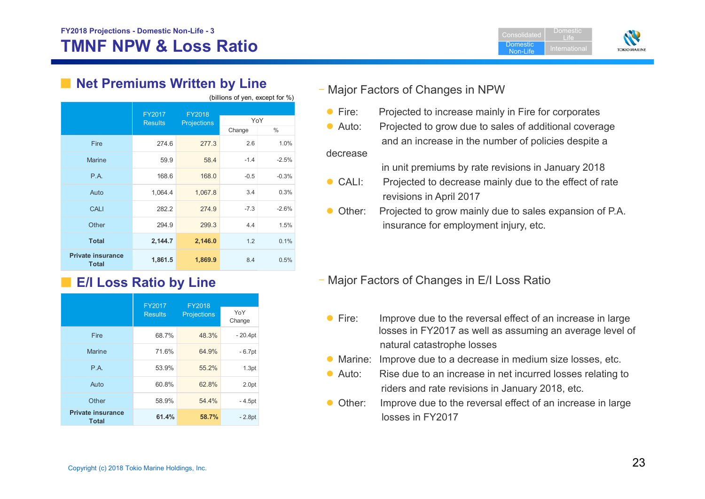



# ■ Net Premiums Written by Line

 $(b)$ illians of you, except for  $0/3$ 

|                                          | FY2017<br><b>Results</b> | FY2018<br><b>Projections</b> |        | YoY     |  |
|------------------------------------------|--------------------------|------------------------------|--------|---------|--|
|                                          |                          |                              | Change | $\%$    |  |
| Fire                                     | 274.6                    | 277.3                        | 2.6    | 1.0%    |  |
| <b>Marine</b>                            | 59.9                     | 58.4                         | $-1.4$ | $-2.5%$ |  |
| P.A.                                     | 168.6                    | 168.0                        | $-0.5$ | $-0.3%$ |  |
| Auto                                     | 1,064.4                  | 1,067.8                      | 3.4    | 0.3%    |  |
| <b>CALI</b>                              | 282.2                    | 274.9                        | $-7.3$ | $-2.6%$ |  |
| Other                                    | 294.9                    | 299.3                        | 4.4    | 1.5%    |  |
| <b>Total</b>                             | 2,144.7                  | 2,146.0                      | 1.2    | 0.1%    |  |
| <b>Private insurance</b><br><b>Total</b> | 1,861.5                  | 1,869.9                      | 8.4    | 0.5%    |  |

# ■ **E/I Loss Ratio by Line**

|                                          | <b>FY2017</b>  | <b>FY2018</b>      |                   |
|------------------------------------------|----------------|--------------------|-------------------|
|                                          | <b>Results</b> | <b>Projections</b> | YoY<br>Change     |
| Fire                                     | 68.7%          | 48.3%              | $-20.4pt$         |
| <b>Marine</b>                            | 71.6%          | 64.9%              | $-6.7pt$          |
| P.A.                                     | 53.9%          | 55.2%              | 1.3pt             |
| Auto                                     | 60.8%          | 62.8%              | 2.0 <sub>pt</sub> |
| Other                                    | 58.9%          | 54.4%              | - 4.5pt           |
| <b>Private insurance</b><br><b>Total</b> | 61.4%          | 58.7%              | $-2.8pt$          |

## – Major Factors of Changes in NPW

- $\bullet$  Fire: Projected to increase mainly in Fire for corporates
- $\bullet$  Auto: Projected to grow due to sales of additional coverage and an increase in the number of policies despite a decrease

in unit premiums by rate revisions in January 2018

- $\bullet$  CALI: Projected to decrease mainly due to the effect of rate revisions in April 2017
- Other: Projected to grow mainly due to sales expansion of P.A. insurance for employment injury, etc.

## – Major Factors of Changes in E/I Loss Ratio

- $\bullet$  Fire: Improve due to the reversal effect of an increase in large losses in FY2017 as well as assuming an average level of natural catastrophe losses
- **Marine: Improve due to a decrease in medium size losses, etc.**
- $\bullet$  Auto: Rise due to an increase in net incurred losses relating to riders and rate revisions in January 2018, etc.
- Other: Improve due to the reversal effect of an increase in large losses in FY2017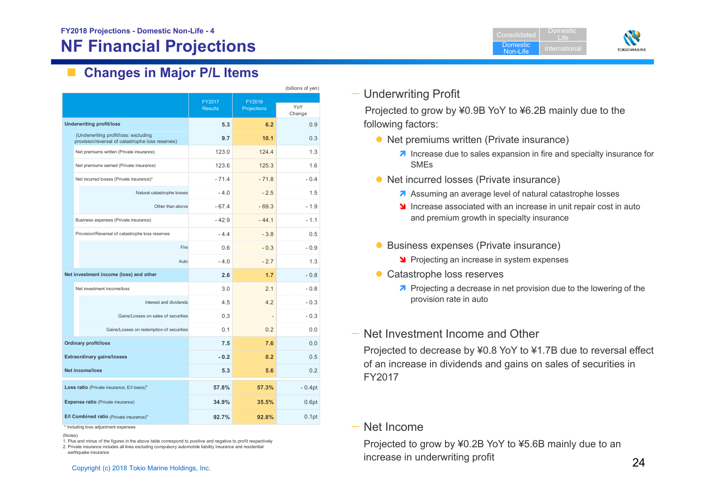$\mathcal{L}^{\mathcal{L}}$ **Changes in Major P/L Items**

|                                            |                                                                                          |                          |                       | (billions of yen) |
|--------------------------------------------|------------------------------------------------------------------------------------------|--------------------------|-----------------------|-------------------|
|                                            |                                                                                          | FY2017<br><b>Results</b> | FY2018<br>Projections | YoY<br>Change     |
|                                            | <b>Underwriting profit/loss</b>                                                          | 5.3                      | 6.2                   | 0.9               |
|                                            | (Underwriting profit/loss: excluding<br>provision/reversal of catastrophe loss reserves) | 9.7                      | 10.1                  | 0.3               |
|                                            | Net premiums written (Private insurance)                                                 | 123.0                    | 1244                  | 1.3               |
|                                            | Net premiums earned (Private insurance)                                                  | 123.6                    | 125.3                 | 1.6               |
|                                            | Net incurred losses (Private insurance)*                                                 | $-714$                   | $-718$                | $-0.4$            |
|                                            | Natural catastrophe losses                                                               | $-4.0$                   | $-2.5$                | 1.5               |
|                                            | Other than above                                                                         | $-674$                   | $-69.3$               | $-1.9$            |
|                                            | Business expenses (Private insurance)                                                    | $-42.9$                  | $-44.1$               | $-11$             |
|                                            | Provision/Reversal of catastrophe loss reserves                                          | $-4.4$                   | $-3.8$                | 0.5               |
|                                            | Fire                                                                                     | 0.6                      | $-0.3$                | $-0.9$            |
|                                            | Auto                                                                                     | $-4.0$                   | $-2.7$                | 1.3               |
|                                            | Net investment income (loss) and other                                                   | 2.6                      | 1.7                   | $-0.8$            |
|                                            | Net investment income/loss                                                               | 3.0                      | 2.1                   | $-0.8$            |
|                                            | Interest and dividends                                                                   | 4.5                      | 4.2                   | $-0.3$            |
|                                            | Gains/Losses on sales of securities                                                      | 0.3                      |                       | $-0.3$            |
|                                            | Gains/Losses on redemption of securities                                                 | 0.1                      | 0.2                   | 0.0               |
|                                            | <b>Ordinary profit/loss</b>                                                              | 7.5                      | 7.6                   | 0.0               |
| <b>Extraordinary gains/losses</b>          |                                                                                          | $-0.2$                   | 0.2                   | 0.5               |
| Net income/loss                            |                                                                                          | 5.3                      | 5.6                   | 0.2               |
| Loss ratio (Private insurance, E/I basis)* |                                                                                          | 57.8%                    | 57.3%                 | $-0.4pt$          |
|                                            | Expense ratio (Private insurance)                                                        | 34.9%                    | 35.5%                 | 0.6pt             |
|                                            | E/I Combined ratio (Private insurance)*                                                  | 92.7%                    | 92.8%                 | 0.1 <sub>pt</sub> |

\* Including loss adjustment expenses

(Notes)

1. Plus and minus of the figures in the above table correspond to positive and negative to profit respectively

2. Private insurance includes all lines excluding compulsory automobile liability insurance and residential

earthquake insurance



Projected to grow by ¥0.9B YoY to ¥6.2B mainly due to the following factors:

- Net premiums written (Private insurance)
	- **7** Increase due to sales expansion in fire and specialty insurance for SMEs

ConsolidatedDomesticNon-Life

Domestic Life

**TOKIO MARINE** 

- Net incurred losses (Private insurance)
	- **A** Assuming an average level of natural catastrophe losses
	- If Increase associated with an increase in unit repair cost in auto and premium growth in specialty insurance
- **Business expenses (Private insurance)** 
	- **Projecting an increase in system expenses**
- Catastrophe loss reserves
	- **Projecting a decrease in net provision due to the lowering of the** provision rate in auto
- Net Investment Income and Other

Projected to decrease by ¥0.8 YoY to ¥1.7B due to reversal effect of an increase in dividends and gains on sales of securities in FY2017

#### — Net Income

Copyright (c) 2018 Tokio Marine Holdings, Inc. 24 Projected to grow by ¥0.2B YoY to ¥5.6B mainly due to an increase in underwriting profit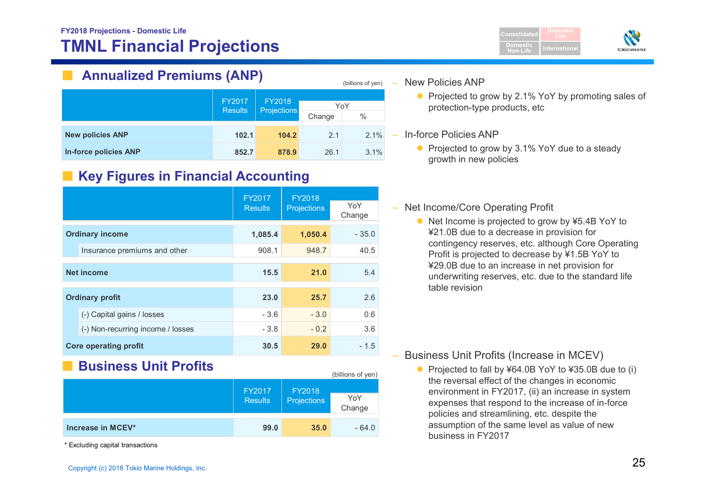## **FY2018 Projections - Domestic Life TMNL Financial Projections**



# **Annualized Premiums (ANP)**

|                              | FY2017<br>FY2018<br><b>Projections</b><br><b>Results</b> |       |        |      |     |
|------------------------------|----------------------------------------------------------|-------|--------|------|-----|
|                              |                                                          |       |        |      | YoY |
|                              |                                                          |       | Change | $\%$ |     |
| <b>New policies ANP</b>      | 102.1                                                    | 104.2 | 2.1    | 2.1% |     |
| <b>In-force policies ANP</b> | 852.7                                                    | 878.9 | 26.1   | 3.1% |     |

# ■ Key Figures in Financial Accounting

|                   |                                   | FY2017         | FY2018             | YoY     |
|-------------------|-----------------------------------|----------------|--------------------|---------|
|                   |                                   | <b>Results</b> | <b>Projections</b> | Change  |
|                   | <b>Ordinary income</b>            | 1,085.4        | 1,050.4            | $-35.0$ |
|                   | Insurance premiums and other      | 908.1          | 948.7              | 40.5    |
| <b>Net income</b> |                                   | 15.5           | 21.0               | 5.4     |
|                   | <b>Ordinary profit</b>            | 23.0           | 25.7               | 2.6     |
|                   | (-) Capital gains / losses        | $-3.6$         | $-3.0$             | 0.6     |
|                   | (-) Non-recurring income / losses | $-3.8$         | $-0.2$             | 3.6     |
|                   | <b>Core operating profit</b>      | 30.5           | 29.0               | - 1.5   |

# **Business Unit Profits**

|                   | FY2017<br><b>Results</b> | FY2018<br>Projections | (billions of yen)<br>YoY<br>Change |
|-------------------|--------------------------|-----------------------|------------------------------------|
| Increase in MCEV* | 99.0                     | 35.0                  | $-64.0$                            |

\* Excluding capital transactions

#### New Policies ANP

(billions of yen)

● Projected to grow by 2.1% YoY by promoting sales of protection-type products, etc

#### In-force Policies ANP

• Projected to grow by 3.1% YoY due to a steady growth in new policies

### – Net Income/Core Operating Profit

● Net Income is projected to grow by ¥5.4B YoY to ¥21.0B due to a decrease in provision for contingency reserves, etc. although Core Operating Profit is projected to decrease by ¥1.5B YoY to ¥29.0B due to an increase in net provision for underwriting reserves, etc. due to the standard life table revision

### Business Unit Profits (Increase in MCEV)

● Projected to fall by ¥64.0B YoY to ¥35.0B due to (i) the reversal effect of the changes in economic environment in FY2017, (ii) an increase in system expenses that respond to the increase of in-force policies and streamlining, etc. despite the assumption of the same level as value of new business in FY2017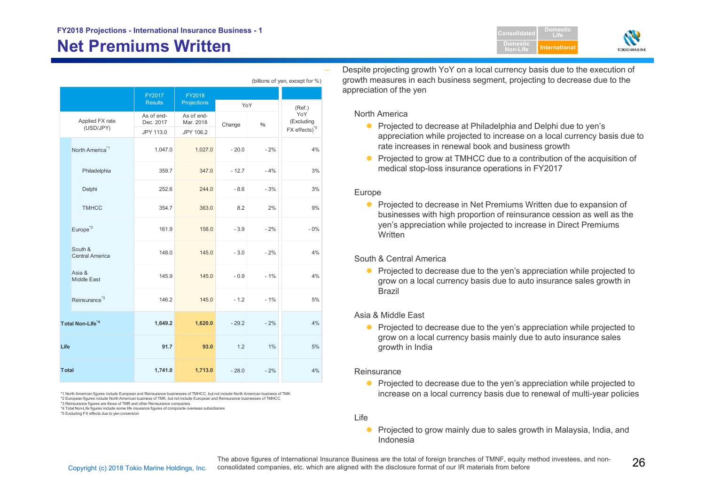# **Net Premiums Written**

|                                   |                         |                         |         | (billions of yen, except for %) |                           |
|-----------------------------------|-------------------------|-------------------------|---------|---------------------------------|---------------------------|
|                                   | FY2017                  | FY2018                  |         |                                 |                           |
|                                   | <b>Results</b>          | Projections             | YoY     |                                 | (Ref.)                    |
| Applied FX rate<br>(USD/JPY)      | As of end-<br>Dec. 2017 | As of end-<br>Mar. 2018 | Change  | %                               | YoY<br>(Excluding         |
|                                   | JPY 113.0               | JPY 106.2               |         |                                 | FX effects) <sup>*5</sup> |
| North America <sup>*1</sup>       | 1,047.0                 | 1,027.0                 | $-20.0$ | $-2%$                           | 4%                        |
| Philadelphia                      | 359.7                   | 347.0                   | $-12.7$ | $-4%$                           | 3%                        |
| Delphi                            | 252.6                   | 244.0                   | $-8.6$  | $-3%$                           | 3%                        |
| <b>TMHCC</b>                      | 354.7                   | 363.0                   | 8.2     | 2%                              | 9%                        |
| Europe <sup>*2</sup>              | 161.9                   | 158.0                   | $-3.9$  | $-2%$                           | $-0%$                     |
| South &<br><b>Central America</b> | 148.0                   | 145.0                   | $-3.0$  | $-2%$                           | 4%                        |
| Asia &<br><b>Middle East</b>      | 145.9                   | 145.0                   | $-0.9$  | $-1%$                           | 4%                        |
| Reinsurance <sup>*3</sup>         | 146.2                   | 145.0                   | $-1.2$  | $-1%$                           | 5%                        |
| Total Non-Life <sup>*4</sup>      | 1,649.2                 | 1,620.0                 | $-29.2$ | $-2%$                           | 4%                        |
| Life                              | 91.7                    | 93.0                    | 1.2     | 1%                              | 5%                        |
| <b>Total</b>                      | 1,741.0                 | 1,713.0                 | $-28.0$ | $-2%$                           | 4%                        |

\*1 North American figures include European and Reinsurance businesses of TMHCC, but not include North American business of TMK

\*2 European figures include North American business of TMK, but not include European and Reinsurance businesses of TMHCC

\*3 Reinsurance figures are those of TMR and other Reinsurance companies \*4 Total Non-Life figures include some life insurance figures of composite overseas subsidiaries

\*5 Excluding FX effects due to yen conversion

 Despite projecting growth YoY on a local currency basis due to the execution of growth measures in each business segment, projecting to decrease due to the appreciation of the yen

#### North America

● Projected to decrease at Philadelphia and Delphi due to yen's appreciation while projected to increase on a local currency basis due to rate increases in renewal book and business growth

**DomesticNon-Life**

**DomesticLifeInternationa** 

● Projected to grow at TMHCC due to a contribution of the acquisition of medical stop-loss insurance operations in FY2017

#### Europe

**•** Projected to decrease in Net Premiums Written due to expansion of businesses with high proportion of reinsurance cession as well as the yen's appreciation while projected to increase in Direct Premiums **Written** 

#### South & Central America

• Projected to decrease due to the yen's appreciation while projected to grow on a local currency basis due to auto insurance sales growth in Brazil

#### Asia & Middle East

• Projected to decrease due to the yen's appreciation while projected to grow on a local currency basis mainly due to auto insurance sales growth in India

#### **Reinsurance**

• Projected to decrease due to the yen's appreciation while projected to increase on a local currency basis due to renewal of multi-year policies

#### Life

**•** Projected to grow mainly due to sales growth in Malaysia, India, and Indonesia

The above figures of International Insurance Business are the total of foreign branches of TMNF, equity method investees, and non-<br>Copyright (c) 2018 Tokio Marine Holdings, Inc. consolidated companies, etc. which are alig The above figures of International Insurance Business are the total of foreign branches of TMNF, equity method investees, and non-

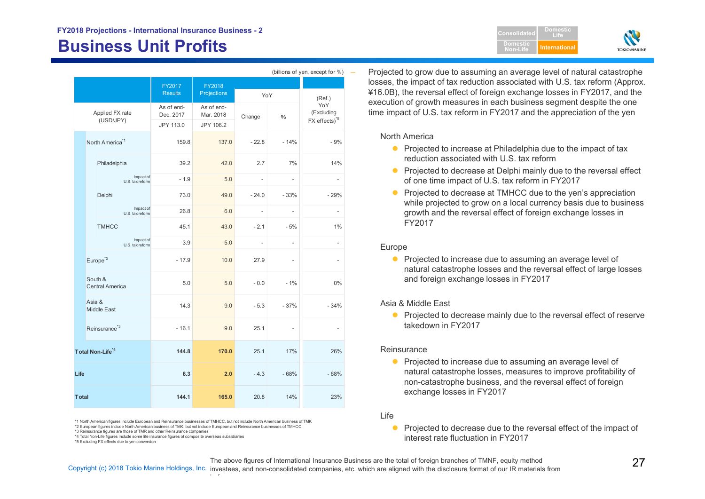# **Business Unit Profits International**

| (billions of yen, except for %) |                                   |                                      |                                      |                          |                          |                                                |
|---------------------------------|-----------------------------------|--------------------------------------|--------------------------------------|--------------------------|--------------------------|------------------------------------------------|
|                                 |                                   | FY2017                               | FY2018                               |                          |                          |                                                |
| Applied FX rate<br>(USD/JPY)    |                                   | <b>Results</b>                       | Projections                          | YoY                      |                          | (Ref.)                                         |
|                                 |                                   | As of end-<br>Dec. 2017<br>JPY 113.0 | As of end-<br>Mar. 2018<br>JPY 106.2 | Change                   | $\%$                     | YoY<br>(Excluding<br>FX effects) <sup>*5</sup> |
|                                 | North America <sup>*1</sup>       | 159.8                                | 137.0                                | $-22.8$                  | $-14%$                   | $-9%$                                          |
|                                 | Philadelphia                      | 39.2                                 | 42.0                                 | 2.7                      | 7%                       | 14%                                            |
|                                 | Impact of<br>U.S. tax reform      | $-1.9$                               | 5.0                                  | $\overline{\phantom{a}}$ | $\frac{1}{2}$            | $\overline{\phantom{a}}$                       |
|                                 | Delphi                            | 73.0                                 | 49.0                                 | $-24.0$                  | $-33%$                   | $-29%$                                         |
|                                 | Impact of<br>U.S. tax reform      | 26.8                                 | 6.0                                  | $\overline{\phantom{m}}$ | $\overline{\phantom{a}}$ | $\frac{1}{2}$                                  |
|                                 | <b>TMHCC</b>                      | 45.1                                 | 43.0                                 | $-2.1$                   | $-5%$                    | 1%                                             |
|                                 | Impact of<br>U.S. tax reform      | 3.9                                  | 5.0                                  | $\overline{\phantom{m}}$ | $\overline{\phantom{a}}$ | $\frac{1}{2}$                                  |
|                                 | Europe <sup>*2</sup>              | $-17.9$                              | 10.0                                 | 27.9                     | $\overline{\phantom{a}}$ | $\overline{a}$                                 |
|                                 | South &<br><b>Central America</b> | 5.0                                  | 5.0                                  | $-0.0$                   | $-1%$                    | 0%                                             |
|                                 | Asia &<br><b>Middle East</b>      | 14.3                                 | 9.0                                  | $-5.3$                   | $-37%$                   | $-34%$                                         |
|                                 | Reinsurance <sup>*3</sup>         | $-16.1$                              | 9.0                                  | 25.1                     | $\overline{\phantom{0}}$ |                                                |
|                                 | Total Non-Life <sup>*4</sup>      | 144.8                                | 170.0                                | 25.1                     | 17%                      | 26%                                            |
| Life                            |                                   | 6.3                                  | 2.0                                  | $-4.3$                   | $-68%$                   | $-68%$                                         |
| <b>Total</b>                    |                                   | 144.1                                | 165.0                                | 20.8                     | 14%                      | 23%                                            |

\*1 North American figures include European and Reinsurance businesses of TMHCC, but not include North American business of TMK

 $\cdot$  f

\*2 European figures include North American business of TMK, but not include European and Reinsurance businesses of TMHCC

\*3 Reinsurance figures are those of TMR and other Reinsurance companies \*4 Total Non-Life figures include some life insurance figures of composite overseas subsidiaries

\*5 Excluding FX effects due to yen conversion

 Projected to grow due to assuming an average level of natural catastrophe losses, the impact of tax reduction associated with U.S. tax reform (Approx.

¥16.0B), the reversal effect of foreign exchange losses in FY2017, and the execution of growth measures in each business segment despite the one time impact of U.S. tax reform in FY2017 and the appreciation of the yen

**ConsolidatedDomesticNon-Life**

**DomesticLife**

**TOKIOMARINI** 

#### North America

- **•** Projected to increase at Philadelphia due to the impact of tax reduction associated with U.S. tax reform
- **Projected to decrease at Delphi mainly due to the reversal effect** of one time impact of U.S. tax reform in FY2017
- Projected to decrease at TMHCC due to the yen's appreciation while projected to grow on a local currency basis due to business growth and the reversal effect of foreign exchange losses in FY2017

#### Europe

**•** Projected to increase due to assuming an average level of natural catastrophe losses and the reversal effect of large losses and foreign exchange losses in FY2017

#### Asia & Middle East

**Projected to decrease mainly due to the reversal effect of reserve** takedown in FY2017

#### **Reinsurance**

- **•** Projected to increase due to assuming an average level of natural catastrophe losses, measures to improve profitability of non-catastrophe business, and the reversal effect of foreign exchange losses in FY2017
- Life

The above figures of International Insurance Business are the total of foreign branches of TMNF, equity method

The above figures of International Insurance Business are the total of foreign branches of TMNF, equity method<br>Copyright (c) 2018 Tokio Marine Holdings, Inc. investees, and non-consolidated companies, etc. which are align

 $\bullet$  Projected to decrease due to the reversal effect of the impact of interest rate fluctuation in FY2017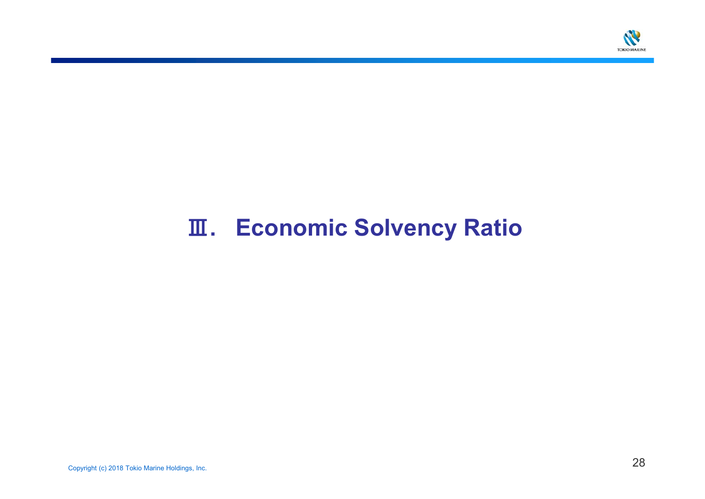

# Ⅲ**. Economic Solvency Ratio**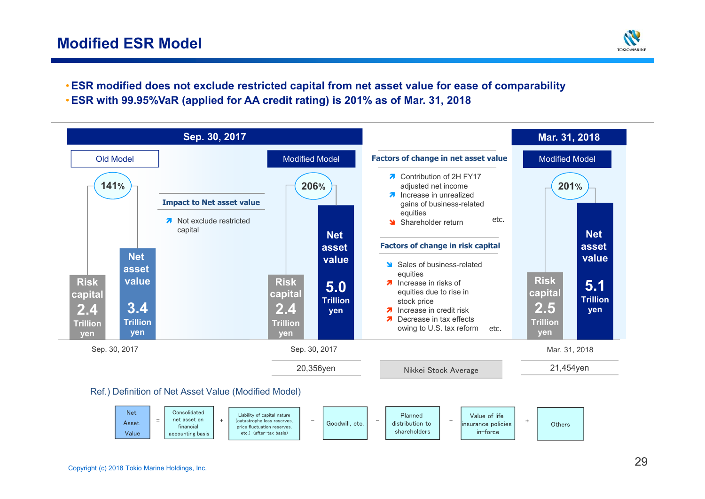# **Modified ESR Model**



•**ESR modified does not exclude restricted capital from net asset value for ease of comparability** •**ESR with 99.95%VaR (applied for AA credit rating) is 201% as of Mar. 31, 2018**

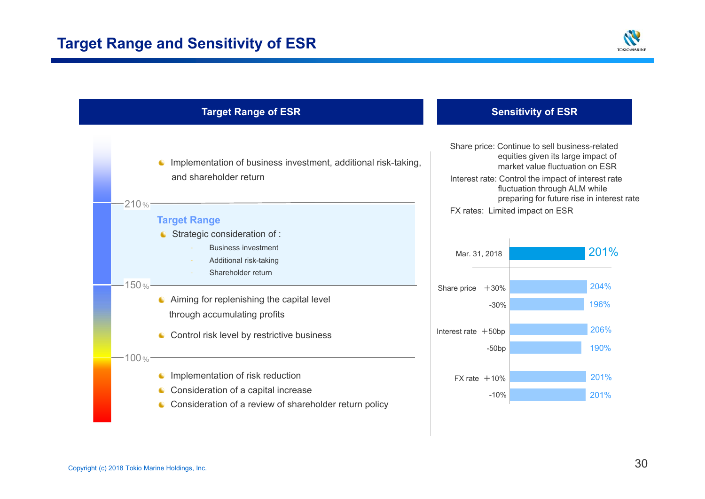![](_page_30_Picture_1.jpeg)

![](_page_30_Figure_2.jpeg)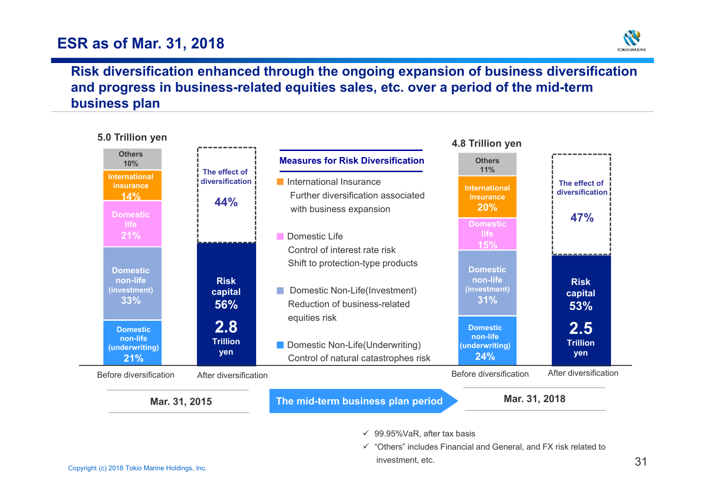# **ESR as of Mar. 31, 2018**

![](_page_31_Picture_1.jpeg)

# **Risk diversification enhanced through the ongoing expansion of business diversification and progress in business-related equities sales, etc. over a period of the mid-term business plan**

![](_page_31_Figure_3.jpeg)

- $\checkmark$  99.95%VaR, after tax basis
- Copyright (c) 2018 Tokio Marine Holdings, Inc. 31  $\checkmark$  "Others" includes Financial and General, and FX risk related to investment, etc.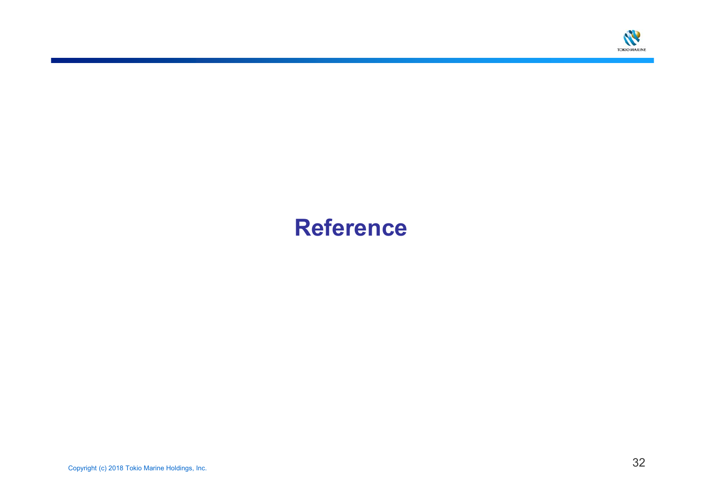![](_page_32_Picture_0.jpeg)

# **Reference**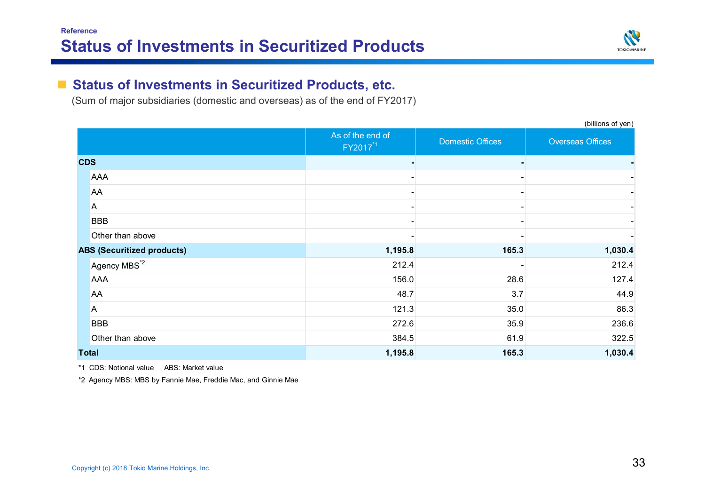![](_page_33_Picture_1.jpeg)

(billions of yen)

#### $\mathcal{L}_{\mathcal{A}}$ **Status of Investments in Securitized Products, etc.**

(Sum of major subsidiaries (domestic and overseas) as of the end of FY2017)

|                                   |                          | As of the end of<br>FY2017 <sup>*1</sup> | <b>Domestic Offices</b> | <b>Overseas Offices</b> |
|-----------------------------------|--------------------------|------------------------------------------|-------------------------|-------------------------|
| <b>CDS</b>                        |                          |                                          |                         |                         |
|                                   | <b>AAA</b>               |                                          |                         |                         |
|                                   | <b>AA</b>                |                                          |                         |                         |
|                                   | A                        |                                          |                         |                         |
|                                   | <b>BBB</b>               |                                          |                         |                         |
|                                   | Other than above         |                                          |                         |                         |
| <b>ABS (Securitized products)</b> |                          | 1,195.8                                  | 165.3                   | 1,030.4                 |
|                                   | Agency MBS <sup>*2</sup> | 212.4                                    |                         | 212.4                   |
|                                   | <b>AAA</b>               | 156.0                                    | 28.6                    | 127.4                   |
|                                   | AA                       | 48.7                                     | 3.7                     | 44.9                    |
|                                   | A                        | 121.3                                    | 35.0                    | 86.3                    |
|                                   | <b>BBB</b>               | 272.6                                    | 35.9                    | 236.6                   |
|                                   | Other than above         | 384.5                                    | 61.9                    | 322.5                   |
|                                   | <b>Total</b>             | 1,195.8                                  | 165.3                   | 1,030.4                 |

\*1 CDS: Notional value ABS: Market value

\*2 Agency MBS: MBS by Fannie Mae, Freddie Mac, and Ginnie Mae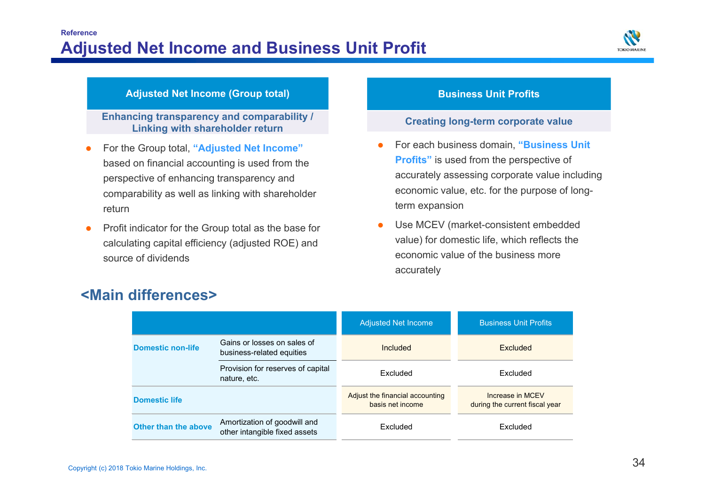![](_page_34_Picture_1.jpeg)

### **Adjusted Net Income (Group total) Business Unit Profits**

**Enhancing transparency and comparability / Linking with shareholder return**

- 0 For the Group total, **"Adjusted Net Income"**  based on financial accounting is used from the perspective of enhancing transparency and comparability as well as linking with shareholder return
- 0 Profit indicator for the Group total as the base for calculating capital efficiency (adjusted ROE) and source of dividends

#### **Creating long-term corporate value**

- O For each business domain, **"Business Unit Profits"** is used from the perspective of accurately assessing corporate value including economic value, etc. for the purpose of longterm expansion
- Ô Use MCEV (market-consistent embedded value) for domestic life, which reflects the economic value of the business more accurately

|                                                                                      |                                                               | <b>Adjusted Net Income</b>                          | <b>Business Unit Profits</b>                       |  |
|--------------------------------------------------------------------------------------|---------------------------------------------------------------|-----------------------------------------------------|----------------------------------------------------|--|
| Gains or losses on sales of<br><b>Domestic non-life</b><br>business-related equities |                                                               | Included                                            | <b>Excluded</b>                                    |  |
|                                                                                      | Provision for reserves of capital<br>nature, etc.             | Excluded                                            | Excluded                                           |  |
| <b>Domestic life</b>                                                                 |                                                               | Adjust the financial accounting<br>basis net income | Increase in MCEV<br>during the current fiscal year |  |
| Other than the above                                                                 | Amortization of goodwill and<br>other intangible fixed assets | Excluded                                            | Excluded                                           |  |

# **<Main differences>**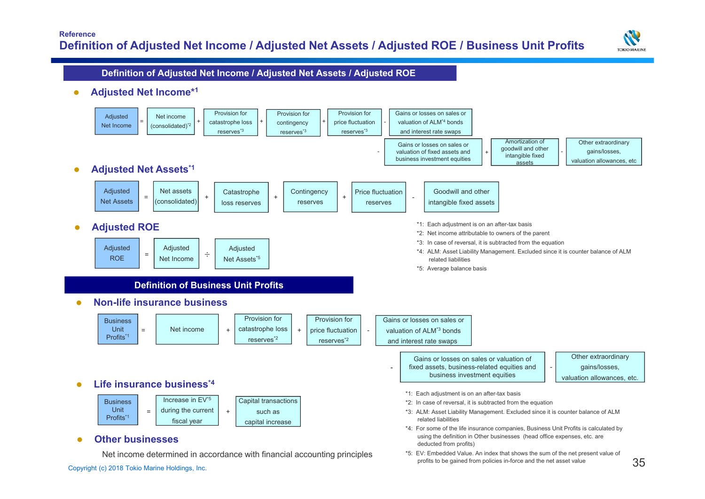![](_page_35_Picture_1.jpeg)

#### **Definition of Adjusted Net Income / Adjusted Net Assets / Adjusted ROE**

 $\bullet$ **Adjusted Net Income\*1**

![](_page_35_Figure_4.jpeg)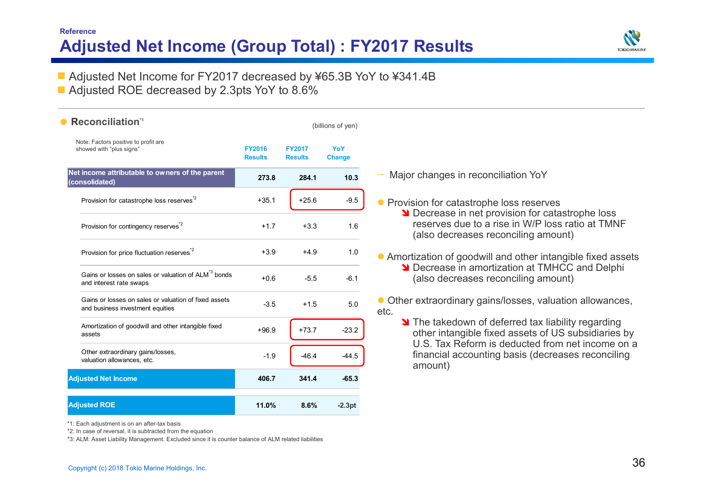# **Reference Adjusted Net Income (Group Total) : FY2017 Results**

![](_page_36_Picture_1.jpeg)

■ Adjusted Net Income for FY2017 decreased by ¥65.3B YoY to ¥341.4B

■ Adjusted ROE decreased by 2.3pts YoY to 8.6%

| Reconciliation <sup>1</sup>                                                                |                                 |                                 | (billions of yen)    |                                                                                                                                           |
|--------------------------------------------------------------------------------------------|---------------------------------|---------------------------------|----------------------|-------------------------------------------------------------------------------------------------------------------------------------------|
| Note: Factors positive to profit are<br>showed with "plus signs"                           | <b>FY2016</b><br><b>Results</b> | <b>FY2017</b><br><b>Results</b> | YoY<br><b>Change</b> |                                                                                                                                           |
| Net income attributable to owners of the parent<br>(consolidated)                          | 273.8                           | 284.1                           | 10.3                 | Major changes in reconciliation YoY                                                                                                       |
| Provision for catastrophe loss reserves <sup>*2</sup>                                      | $+35.1$                         | $+25.6$                         | $-9.5$               | • Provision for catastrophe loss reserves                                                                                                 |
| Provision for contingency reserves <sup>*2</sup>                                           | $+1.7$                          | $+3.3$                          | 1.6                  | Decrease in net provision for catastrophe loss<br>reserves due to a rise in W/P loss ratio at TMNF<br>(also decreases reconciling amount) |
| Provision for price fluctuation reserves <sup>*2</sup>                                     | $+3.9$                          | $+4.9$                          | 1.0                  | • Amortization of goodwill and other intangible fixed assets                                                                              |
| Gains or losses on sales or valuation of ALM <sup>3</sup> bonds<br>and interest rate swaps | $+0.6$                          | $-5.5$                          | $-6.1$               | Decrease in amortization at TMHCC and Delphi<br>(also decreases reconciling amount)                                                       |
| Gains or losses on sales or valuation of fixed assets<br>and business investment equities  | $-3.5$                          | $+1.5$                          | 5.0                  | Other extraordinary gains/losses, valuation allowances,<br>etc.                                                                           |
| Amortization of goodwill and other intangible fixed<br>assets                              | $+96.9$                         | $+73.7$                         | $-23.2$              | The takedown of deferred tax liability regarding<br>other intangible fixed assets of US subsidiaries by                                   |
| Other extraordinary gains/losses,<br>valuation allowances, etc.                            | $-1.9$                          | $-46.4$                         | $-44.5$              | U.S. Tax Reform is deducted from net income on a<br>financial accounting basis (decreases reconciling<br>amount)                          |
| <b>Adjusted Net Income</b>                                                                 | 406.7                           | 341.4                           | $-65.3$              |                                                                                                                                           |
| <b>Adjusted ROE</b>                                                                        | 11.0%                           | 8.6%                            | $-2.3pt$             |                                                                                                                                           |

\*1: Each adjustment is on an after-tax basis

\*2: In case of reversal, it is subtracted from the equation

\*3: ALM: Asset Liability Management. Excluded since it is counter balance of ALM related liabilities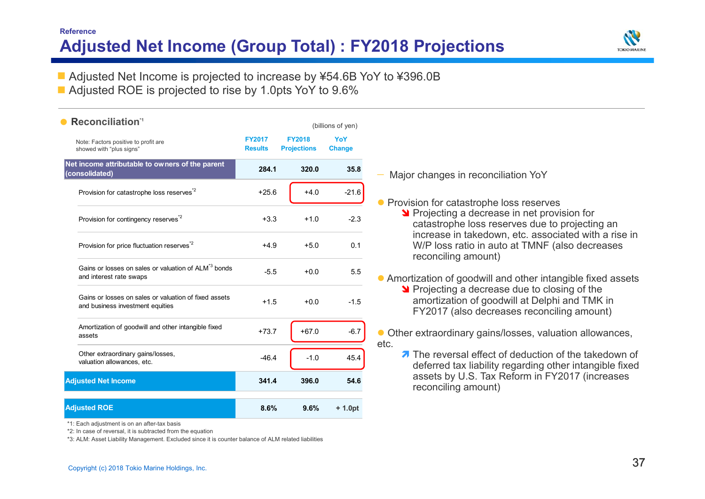## **Reference Adjusted Net Income (Group Total) : FY2018 Projections**

![](_page_37_Picture_1.jpeg)

■ Adjusted Net Income is projected to increase by ¥54.6B YoY to ¥396.0B

■ Adjusted ROE is projected to rise by 1.0pts YoY to 9.6%

#### **FY2017ResultsFY2018Projections YoYChange 284.1 320.0 35.8** Provision for catastrophe loss reserves<sup>\*2</sup>  $+25.6$   $+4.0$   $-21.6$ Provision for contingency reserves<sup> $2$ </sup>  $+3.3$   $+1.0$   $-2.3$ Provision for price fluctuation reserves<sup>\*2</sup>  $+4.9 +5.0$  0.1 Gains or losses on sales or valuation of  $\mathsf{ALM}^{\mathsf{^{\!3}S}}$  bonds Gains of losses on sales or valuation of ALM Donus<br>and interest rate swaps  $-5.5$   $+0.0$   $5.5$ Gains or losses on sales or valuation of fixed assetsballis of losses of radiation of fixed assets  $+1.5 +0.0 -1.5$ Amortization of goodwill and other intangible fixed +73.7 +67.0 -6.7 assetsOther extraordinary gains/losses, Valuation allowances, etc. etc.  $\frac{46.4}{ }$  -1.0 45.4 **341.4 396.0 54.6 8.6% 9.6% + 1.0pt Net income attributable to owners of the parent (consolidated) Adjusted Net Income Adjusted ROE** Note: Factors positive to profit are showed with "plus signs" •**Reconciliation\*1 CONCILIATION Reconciliation 1**

\*1: Each adjustment is on an after-tax basis

\*2: In case of reversal, it is subtracted from the equation

\*3: ALM: Asset Liability Management. Excluded since it is counter balance of ALM related liabilities

- Major changes in reconciliation YoY
- **Provision for catastrophe loss reserves** 
	- **Projecting a decrease in net provision for** catastrophe loss reserves due to projecting an increase in takedown, etc. associated with a rise in W/P loss ratio in auto at TMNF (also decreases reconciling amount)
- Amortization of goodwill and other intangible fixed assets
	- Projecting a decrease due to closing of the amortization of goodwill at Delphi and TMK in FY2017 (also decreases reconciling amount)
- Other extraordinary gains/losses, valuation allowances, etc.
	- 7 The reversal effect of deduction of the takedown of deferred tax liability regarding other intangible fixed assets by U.S. Tax Reform in FY2017 (increases reconciling amount)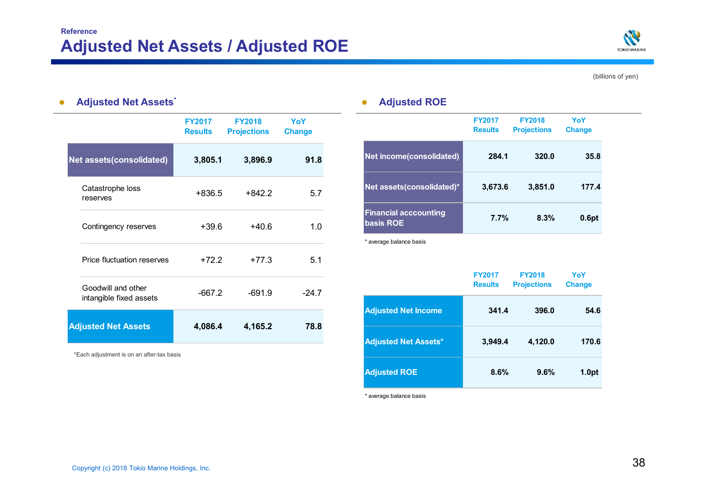![](_page_38_Picture_1.jpeg)

(billions of yen)

#### $\bullet$ **Adjusted Net Assets\* Adjusted ROE**

|                                               | <b>FY2017</b><br><b>Results</b> | <b>FY2018</b><br><b>Projections</b> | YoY<br><b>Change</b> |
|-----------------------------------------------|---------------------------------|-------------------------------------|----------------------|
| <b>Net assets(consolidated)</b>               | 3,805.1                         | 3,896.9                             | 91.8                 |
| Catastrophe loss<br>reserves                  | $+836.5$                        | $+842.2$                            | 5.7                  |
| Contingency reserves                          | $+39.6$                         | $+40.6$                             | 1.0                  |
| Price fluctuation reserves                    | $+72.2$                         | $+77.3$                             | 5.1                  |
| Goodwill and other<br>intangible fixed assets | $-667.2$                        | $-691.9$                            | $-24.7$              |
| <b>Adjusted Net Assets</b>                    | 4,086.4                         | 4,165.2                             | 78.8                 |

\*Each adjustment is on an after-tax basis

|                                           | <b>FY2017</b><br><b>Results</b> | <b>FY2018</b><br><b>Projections</b> | YoY<br><b>Change</b> |
|-------------------------------------------|---------------------------------|-------------------------------------|----------------------|
| Net income(consolidated)                  | 284.1                           | 320.0                               | 35.8                 |
| Net assets (consolidated)*                | 3,673.6                         | 3,851.0                             | 177.4                |
| <b>Financial acccounting</b><br>basis ROE | 7.7%                            | 8.3%                                | 0.6pt                |

\* average balance basis

|                             | <b>FY2017</b><br><b>Results</b> | <b>FY2018</b><br><b>Projections</b> | YoY<br><b>Change</b> |
|-----------------------------|---------------------------------|-------------------------------------|----------------------|
| <b>Adjusted Net Income</b>  | 341.4                           | 396.0                               | 54.6                 |
| <b>Adjusted Net Assets*</b> | 3,949.4                         | 4,120.0                             | 170.6                |
| <b>Adjusted ROE</b>         | 8.6%                            | 9.6%                                | 1.0pt                |

\* average balance basis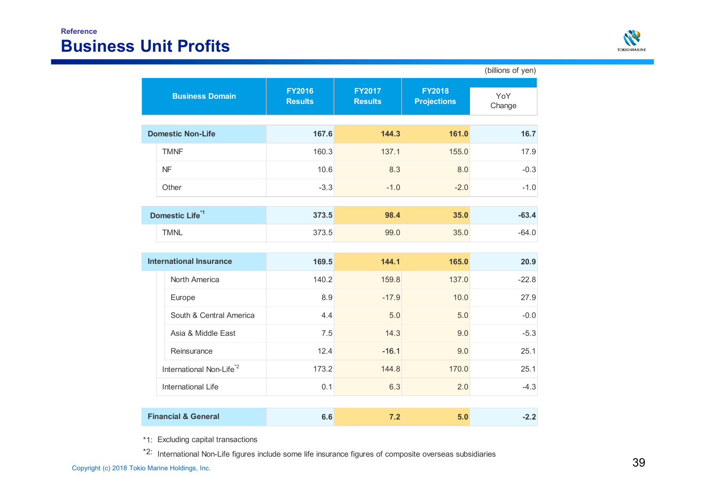![](_page_39_Picture_1.jpeg)

| (billions of yen)                    |                                 |                                 |                                     |               |  |
|--------------------------------------|---------------------------------|---------------------------------|-------------------------------------|---------------|--|
| <b>Business Domain</b>               | <b>FY2016</b><br><b>Results</b> | <b>FY2017</b><br><b>Results</b> | <b>FY2018</b><br><b>Projections</b> | YoY<br>Change |  |
| <b>Domestic Non-Life</b>             | 167.6                           | 144.3                           | 161.0                               | 16.7          |  |
| <b>TMNF</b>                          | 160.3                           | 137.1                           | 155.0                               | 17.9          |  |
| NF                                   | 10.6                            | 8.3                             | 8.0                                 | $-0.3$        |  |
| Other                                | $-3.3$                          | $-1.0$                          | $-2.0$                              | $-1.0$        |  |
|                                      |                                 |                                 |                                     |               |  |
| Domestic Life <sup>*1</sup>          | 373.5                           | 98.4                            | 35.0                                | $-63.4$       |  |
| <b>TMNL</b>                          | 373.5                           | 99.0                            | 35.0                                | $-64.0$       |  |
| <b>International Insurance</b>       | 169.5                           | 144.1                           | 165.0                               | 20.9          |  |
| North America                        | 140.2                           | 159.8                           | 137.0                               | $-22.8$       |  |
| Europe                               | 8.9                             | $-17.9$                         | 10.0                                | 27.9          |  |
| South & Central America              | 4.4                             | 5.0                             | 5.0                                 | $-0.0$        |  |
| Asia & Middle East                   | 7.5                             | 14.3                            | 9.0                                 | $-5.3$        |  |
| Reinsurance                          | 12.4                            | $-16.1$                         | 9.0                                 | 25.1          |  |
| International Non-Life <sup>*2</sup> | 173.2                           | 144.8                           | 170.0                               | 25.1          |  |
| <b>International Life</b>            | 0.1                             | 6.3                             | 2.0                                 | $-4.3$        |  |
|                                      |                                 |                                 |                                     |               |  |
| <b>Financial &amp; General</b>       | 6.6                             | 7.2                             | 5.0                                 | $-2.2$        |  |

\*1: Excluding capital transactions

\*2: International Non-Life figures include some life insurance figures of composite overseas subsidiaries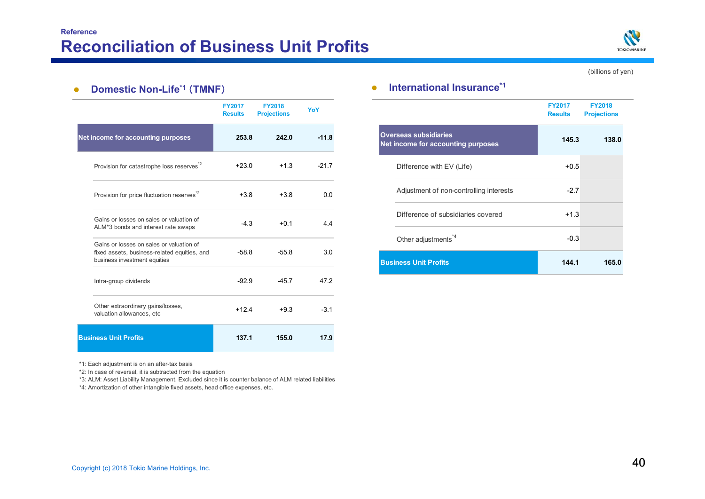![](_page_40_Picture_1.jpeg)

(billions of yen)

#### $\bullet$ **Domestic Non-Life\*1** (**TMNF**)

|                                                                                                                          | <b>FY2017</b><br><b>Results</b> | <b>FY2018</b><br><b>Projections</b> | YoY     |
|--------------------------------------------------------------------------------------------------------------------------|---------------------------------|-------------------------------------|---------|
| Net income for accounting purposes                                                                                       | 253.8                           | 242.0                               | $-11.8$ |
| Provision for catastrophe loss reserves <sup>*2</sup>                                                                    | $+23.0$                         | $+1.3$                              | $-217$  |
| Provision for price fluctuation reserves <sup>"2</sup>                                                                   | $+3.8$                          | $+3.8$                              | 0 Q     |
| Gains or losses on sales or valuation of<br>ALM*3 bonds and interest rate swaps                                          | $-4.3$                          | $+0.1$                              | 44      |
| Gains or losses on sales or valuation of<br>fixed assets, business-related equities, and<br>business investment equities | $-58.8$                         | $-55.8$                             | 3.0     |
| Intra-group dividends                                                                                                    | $-92.9$                         | $-45.7$                             | 47.2    |
| Other extraordinary gains/losses,<br>valuation allowances, etc                                                           | $+124$                          | $+9.3$                              | $-31$   |
| <b>Business Unit Profits</b>                                                                                             | 137.1                           | 155.0                               | 17.9    |

#### $\bullet$ **International Insurance\*1**

|                                                                           | <b>FY2017</b><br><b>Results</b> | <b>FY2018</b><br><b>Projections</b> |
|---------------------------------------------------------------------------|---------------------------------|-------------------------------------|
| <b>Overseas subsidiaries</b><br><b>Net income for accounting purposes</b> | 145.3                           | 138.0                               |
| Difference with EV (Life)                                                 | $+0.5$                          |                                     |
| Adjustment of non-controlling interests                                   | $-2.7$                          |                                     |
| Difference of subsidiaries covered                                        | $+1.3$                          |                                     |
| Other adjustments <sup>*4</sup>                                           | $-0.3$                          |                                     |
| <b>Business Unit Profits</b>                                              | 144.1                           | 165.0                               |

\*1: Each adjustment is on an after-tax basis

\*2: In case of reversal, it is subtracted from the equation

\*3: ALM: Asset Liability Management. Excluded since it is counter balance of ALM related liabilities

\*4: Amortization of other intangible fixed assets, head office expenses, etc.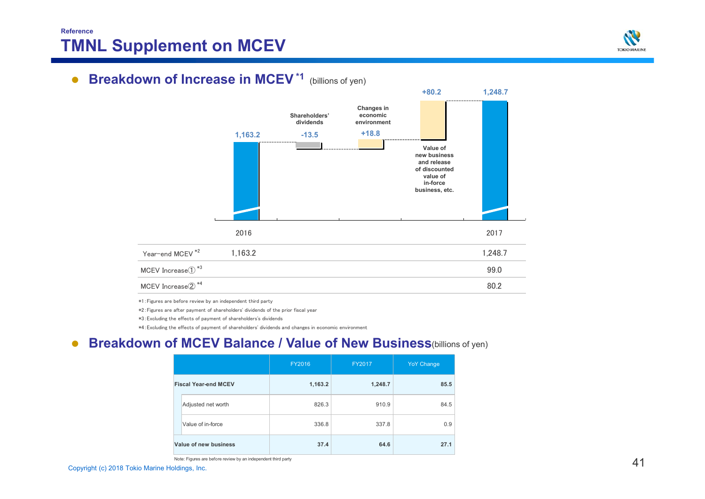## **ReferenceTMNL Supplement on MCEV**

![](_page_41_Picture_1.jpeg)

# **• Breakdown of Increase in MCEV<sup>\*1</sup> (billions of yen)**

![](_page_41_Figure_3.jpeg)

\*1:Figures are before review by an independent third party

\*2:Figures are after payment of shareholders' dividends of the prior fiscal year

\*3:Excluding the effects of payment of shareholders's dividends

\*4:Excluding the effects of payment of shareholders' dividends and changes in economic environment

#### $\bullet$ **• Breakdown of MCEV Balance / Value of New Business(billions of yen)**

|                             | FY2016  | FY2017  | <b>YoY Change</b> |
|-----------------------------|---------|---------|-------------------|
| <b>Fiscal Year-end MCEV</b> | 1,163.2 | 1,248.7 | 85.5              |
| Adjusted net worth          | 826.3   | 910.9   | 84.5              |
| Value of in-force           | 336.8   | 337.8   | 0.9               |
| Value of new business       | 37.4    | 64.6    | 27.1              |

Note: Figures are before review by an independent third party